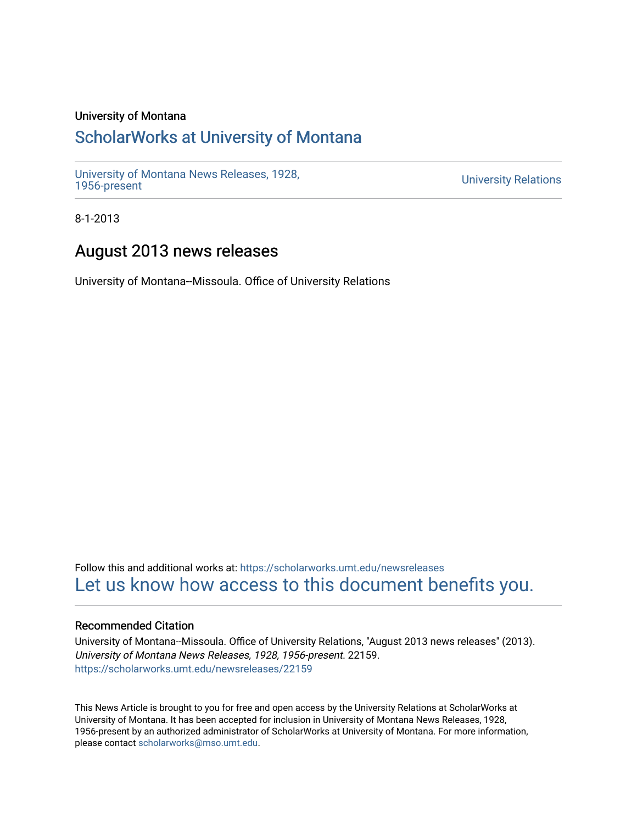## University of Montana

# [ScholarWorks at University of Montana](https://scholarworks.umt.edu/)

[University of Montana News Releases, 1928,](https://scholarworks.umt.edu/newsreleases) 

**University Relations** 

8-1-2013

# August 2013 news releases

University of Montana--Missoula. Office of University Relations

Follow this and additional works at: [https://scholarworks.umt.edu/newsreleases](https://scholarworks.umt.edu/newsreleases?utm_source=scholarworks.umt.edu%2Fnewsreleases%2F22159&utm_medium=PDF&utm_campaign=PDFCoverPages) [Let us know how access to this document benefits you.](https://goo.gl/forms/s2rGfXOLzz71qgsB2) 

## Recommended Citation

University of Montana--Missoula. Office of University Relations, "August 2013 news releases" (2013). University of Montana News Releases, 1928, 1956-present. 22159. [https://scholarworks.umt.edu/newsreleases/22159](https://scholarworks.umt.edu/newsreleases/22159?utm_source=scholarworks.umt.edu%2Fnewsreleases%2F22159&utm_medium=PDF&utm_campaign=PDFCoverPages) 

This News Article is brought to you for free and open access by the University Relations at ScholarWorks at University of Montana. It has been accepted for inclusion in University of Montana News Releases, 1928, 1956-present by an authorized administrator of ScholarWorks at University of Montana. For more information, please contact [scholarworks@mso.umt.edu.](mailto:scholarworks@mso.umt.edu)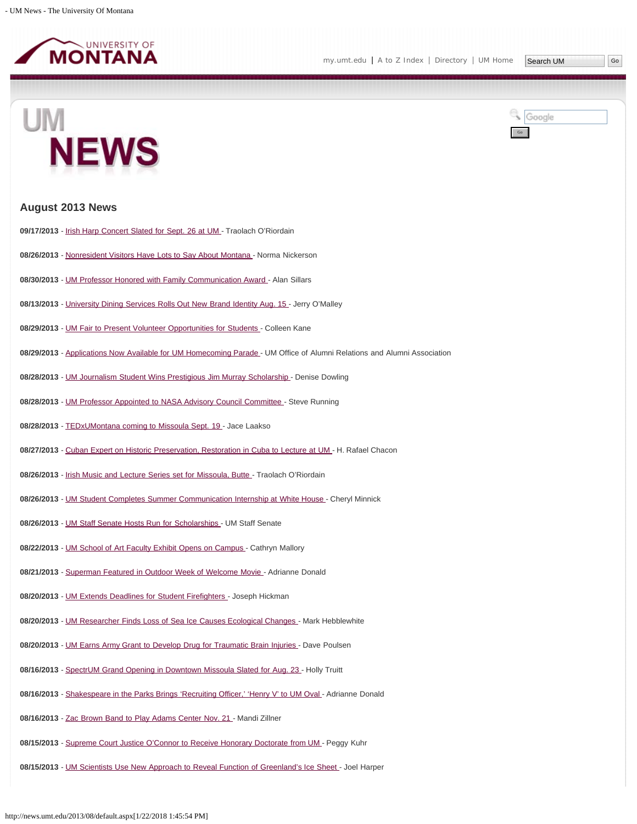





### **August 2013 News**

- **09/17/2013** - [Irish Harp Concert Slated for Sept. 26 at UM -](#page-3-0) Traolach O'Riordain
- **08/26/2013** - [Nonresident Visitors Have Lots to Say About Montana](#page-4-0)  Norma Nickerson
- **08/30/2013** - [UM Professor Honored with Family Communication Award -](#page-6-0) Alan Sillars
- **08/13/2013** - [University Dining Services Rolls Out New Brand Identity Aug. 15 -](#page-7-0) Jerry O'Malley
- **08/29/2013** - [UM Fair to Present Volunteer Opportunities for Students](#page-8-0)  Colleen Kane
- **08/29/2013** - [Applications Now Available for UM Homecoming Parade](#page-9-0)  UM Office of Alumni Relations and Alumni Association
- **08/28/2013** - [UM Journalism Student Wins Prestigious Jim Murray Scholarship](#page-10-0)  Denise Dowling
- 08/28/2013 - [UM Professor Appointed to NASA Advisory Council Committee](#page-11-0)  Steve Running
- **08/28/2013** - [TEDxUMontana coming to Missoula Sept. 19](#page-12-0)  Jace Laakso
- **08/27/2013** - [Cuban Expert on Historic Preservation, Restoration in Cuba to Lecture at UM](#page-14-0)  H. Rafael Chacon
- 08/26/2013 - [Irish Music and Lecture Series set for Missoula, Butte](#page-15-0)  Traolach O'Riordain
- 08/26/2013 - [UM Student Completes Summer Communication Internship at White House](#page-17-0)  Cheryl Minnick
- 08/26/2013 - [UM Staff Senate Hosts Run for Scholarships](#page-19-0)  UM Staff Senate
- 08/22/2013 - [UM School of Art Faculty Exhibit Opens on Campus](#page-20-0)  Cathryn Mallory
- **08/21/2013** - [Superman Featured in Outdoor Week of Welcome Movie](#page-21-0)  Adrianne Donald
- 08/20/2013 - [UM Extends Deadlines for Student Firefighters -](#page-22-0) Joseph Hickman
- 08/20/2013 - [UM Researcher Finds Loss of Sea Ice Causes Ecological Changes -](#page-23-0) Mark Hebblewhite
- 08/20/2013 - [UM Earns Army Grant to Develop Drug for Traumatic Brain Injuries -](#page-24-0) Dave Poulsen
- 08/16/2013 - [SpectrUM Grand Opening in Downtown Missoula Slated for Aug. 23 -](#page-25-0) Holly Truitt
- 08/16/2013 - [Shakespeare in the Parks Brings 'Recruiting Officer,' 'Henry V' to UM Oval -](#page-27-0) Adrianne Donald
- 08/16/2013 - [Zac Brown Band to Play Adams Center Nov. 21 -](#page-28-0) Mandi Zillner
- 08/15/2013 - [Supreme Court Justice O'Connor to Receive Honorary Doctorate from UM -](#page-29-0) Peggy Kuhr
- 08/15/2013 - [UM Scientists Use New Approach to Reveal Function of Greenland's Ice Sheet](#page-30-0)  Joel Harper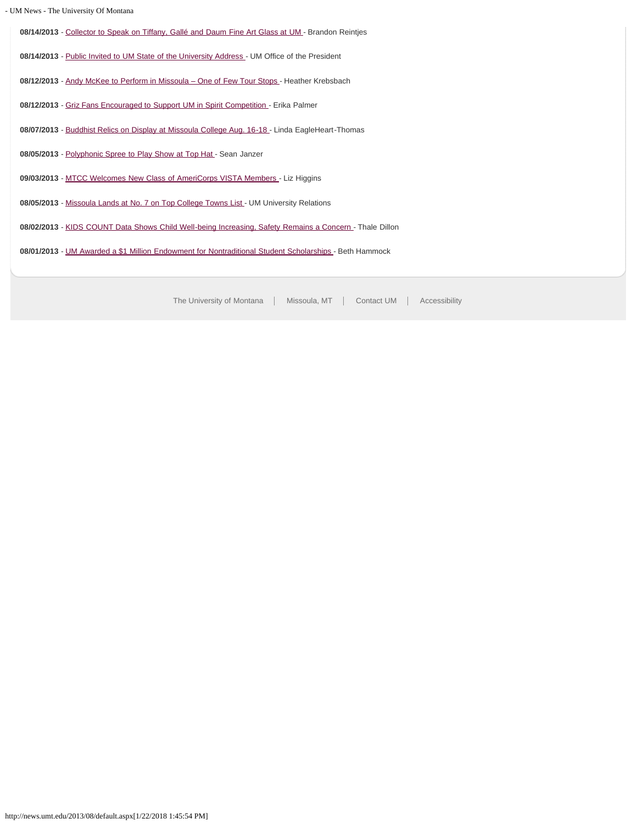|  |  | - UM News - The University Of Montana |
|--|--|---------------------------------------|

| JNI News - The University Of Montana |                                                                                                         |  |  |  |
|--------------------------------------|---------------------------------------------------------------------------------------------------------|--|--|--|
|                                      | 08/14/2013 - Collector to Speak on Tiffany, Gallé and Daum Fine Art Glass at UM - Brandon Reintjes      |  |  |  |
|                                      | 08/14/2013 - Public Invited to UM State of the University Address - UM Office of the President          |  |  |  |
|                                      | 08/12/2013 - Andy McKee to Perform in Missoula - One of Few Tour Stops - Heather Krebsbach              |  |  |  |
|                                      | 08/12/2013 - Griz Fans Encouraged to Support UM in Spirit Competition - Erika Palmer                    |  |  |  |
|                                      | 08/07/2013 - Buddhist Relics on Display at Missoula College Aug. 16-18 - Linda EagleHeart-Thomas        |  |  |  |
|                                      | 08/05/2013 - Polyphonic Spree to Play Show at Top Hat - Sean Janzer                                     |  |  |  |
|                                      | 09/03/2013 - MTCC Welcomes New Class of AmeriCorps VISTA Members - Liz Higgins                          |  |  |  |
|                                      | 08/05/2013 - Missoula Lands at No. 7 on Top College Towns List - UM University Relations                |  |  |  |
|                                      | 08/02/2013 - KIDS COUNT Data Shows Child Well-being Increasing, Safety Remains a Concern - Thale Dillon |  |  |  |
|                                      | 08/01/2013 - UM Awarded a \$1 Million Endowment for Nontraditional Student Scholarships - Beth Hammock  |  |  |  |
|                                      |                                                                                                         |  |  |  |
|                                      |                                                                                                         |  |  |  |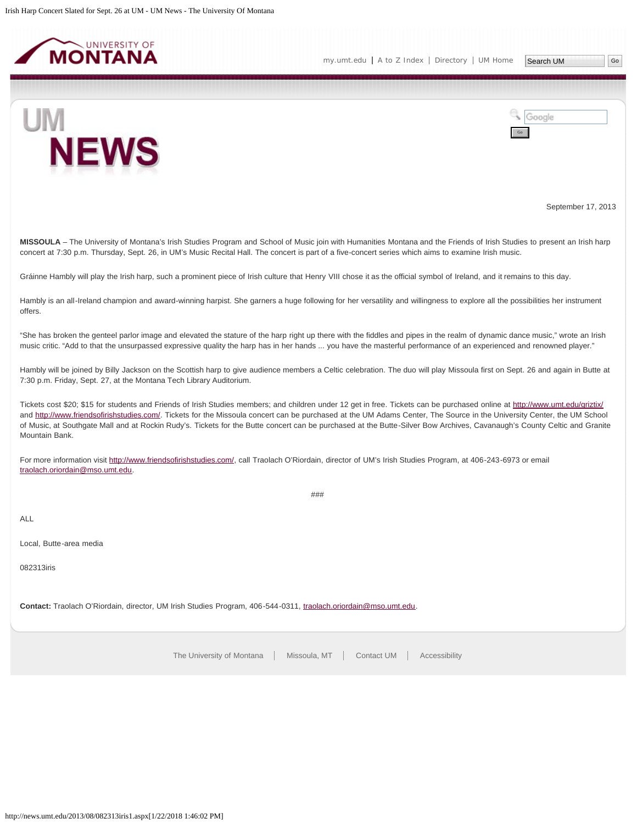<span id="page-3-0"></span>

UM



September 17, 2013

**MISSOULA** – The University of Montana's Irish Studies Program and School of Music join with Humanities Montana and the Friends of Irish Studies to present an Irish harp concert at 7:30 p.m. Thursday, Sept. 26, in UM's Music Recital Hall. The concert is part of a five-concert series which aims to examine Irish music.

Gráinne Hambly will play the Irish harp, such a prominent piece of Irish culture that Henry VIII chose it as the official symbol of Ireland, and it remains to this day.

Hambly is an all-Ireland champion and award-winning harpist. She garners a huge following for her versatility and willingness to explore all the possibilities her instrument offers.

"She has broken the genteel parlor image and elevated the stature of the harp right up there with the fiddles and pipes in the realm of dynamic dance music," wrote an Irish music critic. "Add to that the unsurpassed expressive quality the harp has in her hands ... you have the masterful performance of an experienced and renowned player."

Hambly will be joined by Billy Jackson on the Scottish harp to give audience members a Celtic celebration. The duo will play Missoula first on Sept. 26 and again in Butte at 7:30 p.m. Friday, Sept. 27, at the Montana Tech Library Auditorium.

Tickets cost \$20; \$15 for students and Friends of Irish Studies members; and children under 12 get in free. Tickets can be purchased online at<http://www.umt.edu/griztix/> and<http://www.friendsofirishstudies.com/>. Tickets for the Missoula concert can be purchased at the UM Adams Center, The Source in the University Center, the UM School of Music, at Southgate Mall and at Rockin Rudy's. Tickets for the Butte concert can be purchased at the Butte-Silver Bow Archives, Cavanaugh's County Celtic and Granite Mountain Bank.

For more information visit<http://www.friendsofirishstudies.com/>, call Traolach O'Riordain, director of UM's Irish Studies Program, at 406-243-6973 or email [traolach.oriordain@mso.umt.edu](mailto:traolach.oriordain@mso.umt.edu).

###

ALL

Local, Butte-area media

082313iris

**Contact:** Traolach O'Riordain, director, UM Irish Studies Program, 406-544-0311, [traolach.oriordain@mso.umt.edu.](mailto:traolach.oriordain@mso.umt.edu)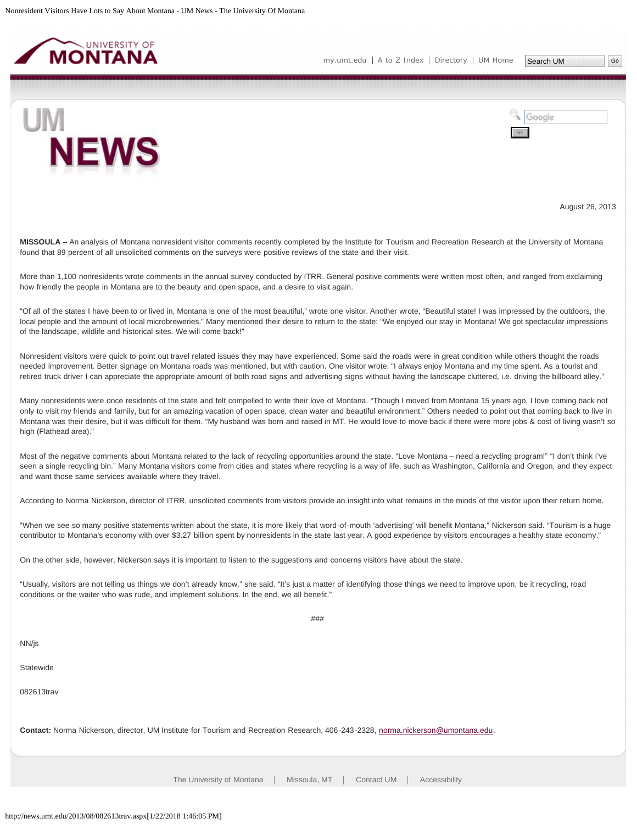<span id="page-4-0"></span>



August 26, 2013

**MISSOULA** – An analysis of Montana nonresident visitor comments recently completed by the Institute for Tourism and Recreation Research at the University of Montana found that 89 percent of all unsolicited comments on the surveys were positive reviews of the state and their visit.

More than 1,100 nonresidents wrote comments in the annual survey conducted by ITRR. General positive comments were written most often, and ranged from exclaiming how friendly the people in Montana are to the beauty and open space, and a desire to visit again.

"Of all of the states I have been to or lived in, Montana is one of the most beautiful," wrote one visitor. Another wrote, "Beautiful state! I was impressed by the outdoors, the local people and the amount of local microbreweries." Many mentioned their desire to return to the state: "We enjoyed our stay in Montana! We got spectacular impressions of the landscape, wildlife and historical sites. We will come back!"

Nonresident visitors were quick to point out travel related issues they may have experienced. Some said the roads were in great condition while others thought the roads needed improvement. Better signage on Montana roads was mentioned, but with caution. One visitor wrote, "I always enjoy Montana and my time spent. As a tourist and retired truck driver I can appreciate the appropriate amount of both road signs and advertising signs without having the landscape cluttered, i.e. driving the billboard alley."

Many nonresidents were once residents of the state and felt compelled to write their love of Montana. "Though I moved from Montana 15 years ago, I love coming back not only to visit my friends and family, but for an amazing vacation of open space, clean water and beautiful environment." Others needed to point out that coming back to live in Montana was their desire, but it was difficult for them. "My husband was born and raised in MT. He would love to move back if there were more jobs & cost of living wasn't so high (Flathead area)."

Most of the negative comments about Montana related to the lack of recycling opportunities around the state. "Love Montana – need a recycling program!" "I don't think I've seen a single recycling bin." Many Montana visitors come from cities and states where recycling is a way of life, such as Washington, California and Oregon, and they expect and want those same services available where they travel.

According to Norma Nickerson, director of ITRR, unsolicited comments from visitors provide an insight into what remains in the minds of the visitor upon their return home.

"When we see so many positive statements written about the state, it is more likely that word-of-mouth 'advertising' will benefit Montana," Nickerson said. "Tourism is a huge contributor to Montana's economy with over \$3.27 billion spent by nonresidents in the state last year. A good experience by visitors encourages a healthy state economy."

On the other side, however, Nickerson says it is important to listen to the suggestions and concerns visitors have about the state.

"Usually, visitors are not telling us things we don't already know," she said. "It's just a matter of identifying those things we need to improve upon, be it recycling, road conditions or the waiter who was rude, and implement solutions. In the end, we all benefit."

NN/js

**Statewide** 

082613trav

**Contact:** Norma Nickerson, director, UM Institute for Tourism and Recreation Research, 406-243-2328, [norma.nickerson@umontana.edu](mailto:norma.nickerson@umontana.edu).

[The University of Montana](http://www.umt.edu/) | Missoula, MT | [Contact UM](http://www.umt.edu/comments) | [Accessibility](http://www.umt.edu/home/accessibility)

###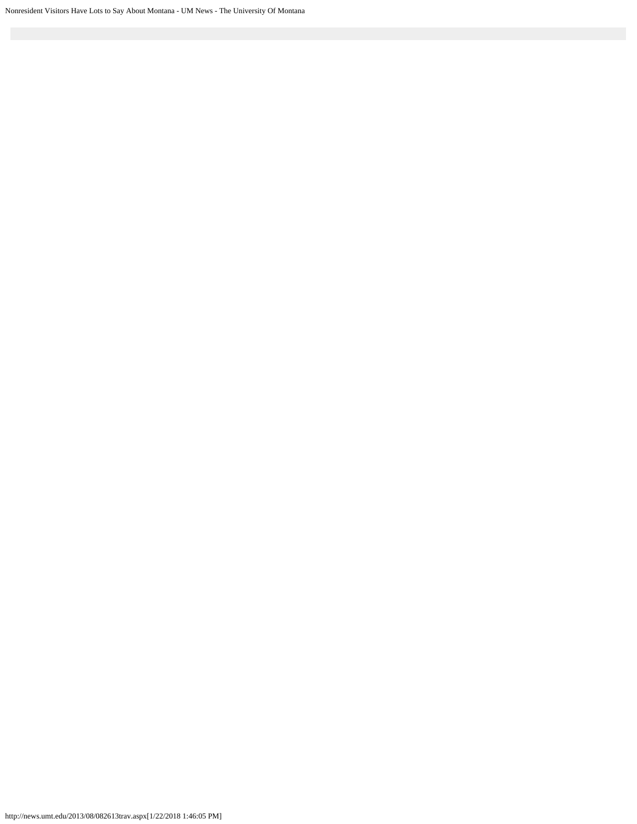Nonresident Visitors Have Lots to Say About Montana - UM News - The University Of Montana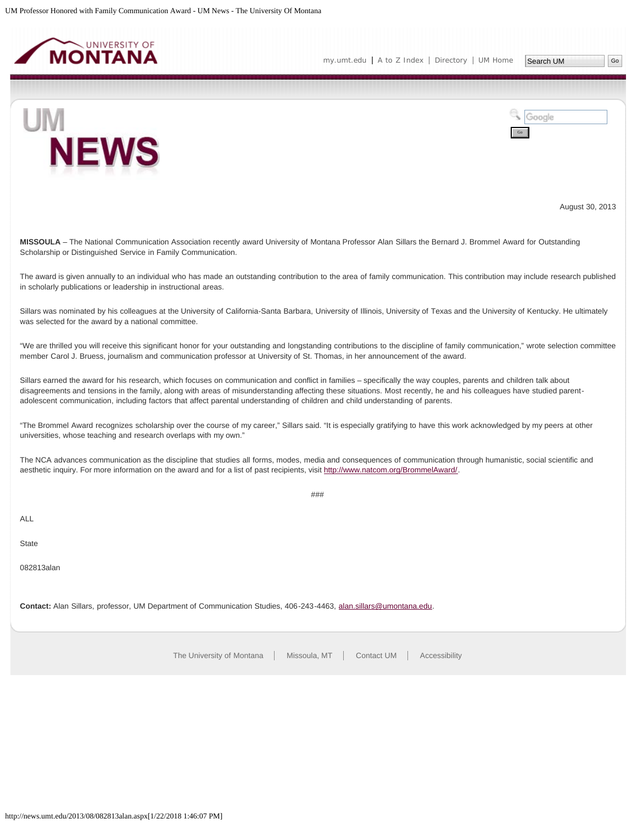<span id="page-6-0"></span>

UM



August 30, 2013

**MISSOULA** – The National Communication Association recently award University of Montana Professor Alan Sillars the Bernard J. Brommel Award for Outstanding Scholarship or Distinguished Service in Family Communication.

The award is given annually to an individual who has made an outstanding contribution to the area of family communication. This contribution may include research published in scholarly publications or leadership in instructional areas.

Sillars was nominated by his colleagues at the University of California-Santa Barbara, University of Illinois, University of Texas and the University of Kentucky. He ultimately was selected for the award by a national committee.

"We are thrilled you will receive this significant honor for your outstanding and longstanding contributions to the discipline of family communication," wrote selection committee member Carol J. Bruess, journalism and communication professor at University of St. Thomas, in her announcement of the award.

Sillars earned the award for his research, which focuses on communication and conflict in families – specifically the way couples, parents and children talk about disagreements and tensions in the family, along with areas of misunderstanding affecting these situations. Most recently, he and his colleagues have studied parentadolescent communication, including factors that affect parental understanding of children and child understanding of parents.

"The Brommel Award recognizes scholarship over the course of my career," Sillars said. "It is especially gratifying to have this work acknowledged by my peers at other universities, whose teaching and research overlaps with my own."

The NCA advances communication as the discipline that studies all forms, modes, media and consequences of communication through humanistic, social scientific and aesthetic inquiry. For more information on the award and for a list of past recipients, visit<http://www.natcom.org/BrommelAward/>.

###

ALL

**State** 

082813alan

**Contact:** Alan Sillars, professor, UM Department of Communication Studies, 406-243-4463, [alan.sillars@umontana.edu.](mailto:alan.sillars@umontana.edu)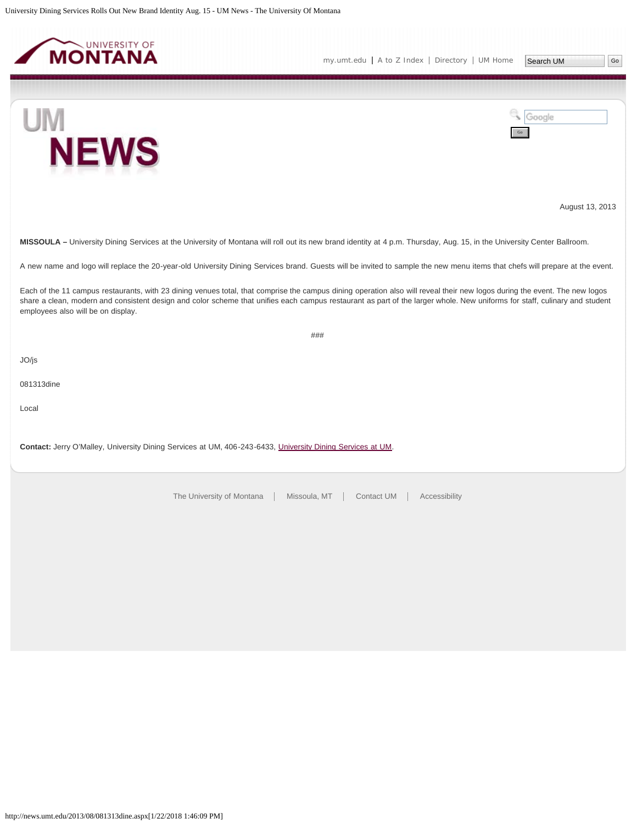<span id="page-7-0"></span>



Go

Google



August 13, 2013

**MISSOULA –** University Dining Services at the University of Montana will roll out its new brand identity at 4 p.m. Thursday, Aug. 15, in the University Center Ballroom.

A new name and logo will replace the 20-year-old University Dining Services brand. Guests will be invited to sample the new menu items that chefs will prepare at the event.

Each of the 11 campus restaurants, with 23 dining venues total, that comprise the campus dining operation also will reveal their new logos during the event. The new logos share a clean, modern and consistent design and color scheme that unifies each campus restaurant as part of the larger whole. New uniforms for staff, culinary and student employees also will be on display.

###

JO/js

081313dine

Local

**Contact:** Jerry O'Malley, University Dining Services at UM, 406-243-6433, [University Dining Services at UM.](mailto:University Dining Services at UM)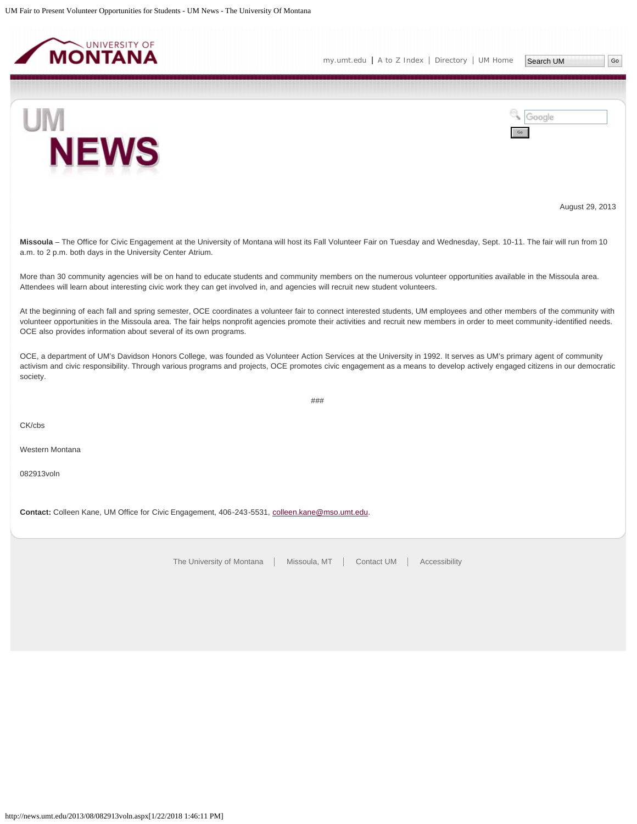<span id="page-8-0"></span>

[my.umt.edu](http://my.umt.edu/) | [A to Z Index](http://www.umt.edu/search/atoz/) | [Directory](http://www.umt.edu/directory/) | [UM Home](http://www.umt.edu/)

Search UM |Go

Go

Google



August 29, 2013

**Missoula** – The Office for Civic Engagement at the University of Montana will host its Fall Volunteer Fair on Tuesday and Wednesday, Sept. 10-11. The fair will run from 10 a.m. to 2 p.m. both days in the University Center Atrium.

More than 30 community agencies will be on hand to educate students and community members on the numerous volunteer opportunities available in the Missoula area. Attendees will learn about interesting civic work they can get involved in, and agencies will recruit new student volunteers.

At the beginning of each fall and spring semester, OCE coordinates a volunteer fair to connect interested students, UM employees and other members of the community with volunteer opportunities in the Missoula area. The fair helps nonprofit agencies promote their activities and recruit new members in order to meet community-identified needs. OCE also provides information about several of its own programs.

OCE, a department of UM's Davidson Honors College, was founded as Volunteer Action Services at the University in 1992. It serves as UM's primary agent of community activism and civic responsibility. Through various programs and projects, OCE promotes civic engagement as a means to develop actively engaged citizens in our democratic society.

###

CK/cbs

Western Montana

082913voln

**Contact:** Colleen Kane, UM Office for Civic Engagement, 406-243-5531, [colleen.kane@mso.umt.edu.](mailto:colleen.kane@mso.umt.edu)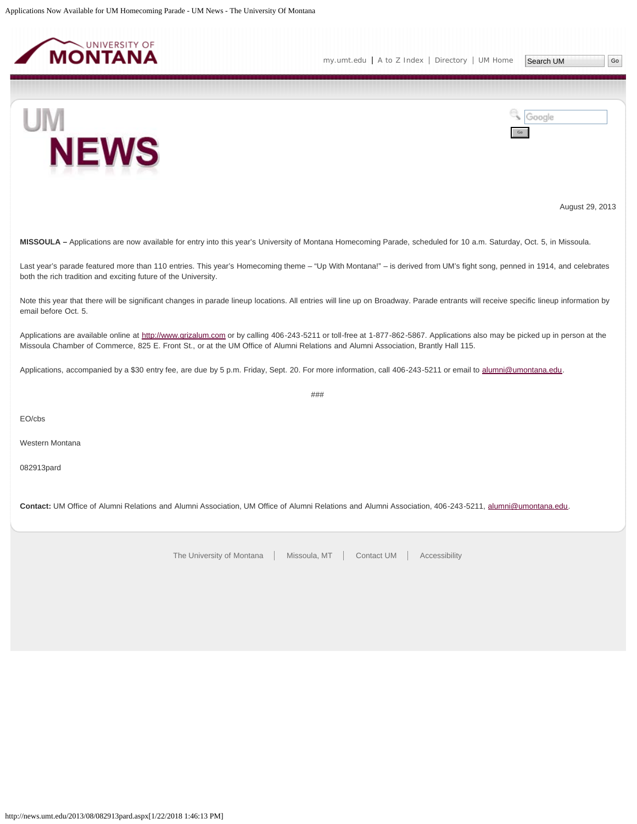<span id="page-9-0"></span>

Go

Google



August 29, 2013

**MISSOULA –** Applications are now available for entry into this year's University of Montana Homecoming Parade, scheduled for 10 a.m. Saturday, Oct. 5, in Missoula.

Last year's parade featured more than 110 entries. This year's Homecoming theme – "Up With Montana!" – is derived from UM's fight song, penned in 1914, and celebrates both the rich tradition and exciting future of the University.

Note this year that there will be significant changes in parade lineup locations. All entries will line up on Broadway. Parade entrants will receive specific lineup information by email before Oct. 5.

Applications are available online at [http://www.grizalum.com](http://www.grizalum.com/) or by calling 406-243-5211 or toll-free at 1-877-862-5867. Applications also may be picked up in person at the Missoula Chamber of Commerce, 825 E. Front St., or at the UM Office of Alumni Relations and Alumni Association, Brantly Hall 115.

Applications, accompanied by a \$30 entry fee, are due by 5 p.m. Friday, Sept. 20. For more information, call 406-243-5211 or email to [alumni@umontana.edu.](mailto:alumni@umontana.edu)

###

EO/cbs

Western Montana

082913pard

**Contact:** UM Office of Alumni Relations and Alumni Association, UM Office of Alumni Relations and Alumni Association, 406-243-5211, [alumni@umontana.edu](mailto:alumni@umontana.edu).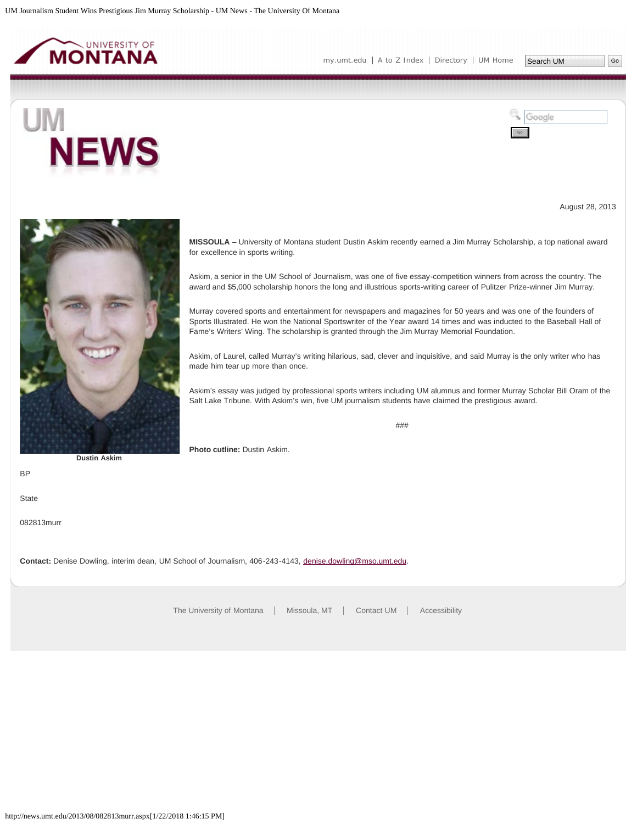<span id="page-10-0"></span>

Search UM



Google Go

August 28, 2013



**MISSOULA** – University of Montana student Dustin Askim recently earned a Jim Murray Scholarship, a top national award for excellence in sports writing.

Askim, a senior in the UM School of Journalism, was one of five essay-competition winners from across the country. The award and \$5,000 scholarship honors the long and illustrious sports-writing career of Pulitzer Prize-winner Jim Murray.

Murray covered sports and entertainment for newspapers and magazines for 50 years and was one of the founders of Sports Illustrated. He won the National Sportswriter of the Year award 14 times and was inducted to the Baseball Hall of Fame's Writers' Wing. The scholarship is granted through the Jim Murray Memorial Foundation.

Askim, of Laurel, called Murray's writing hilarious, sad, clever and inquisitive, and said Murray is the only writer who has made him tear up more than once.

Askim's essay was judged by professional sports writers including UM alumnus and former Murray Scholar Bill Oram of the Salt Lake Tribune. With Askim's win, five UM journalism students have claimed the prestigious award.

###

**Dustin Askim**

BP

**State** 

082813murr

**Contact:** Denise Dowling, interim dean, UM School of Journalism, 406-243-4143, [denise.dowling@mso.umt.edu.](mailto:denise.dowling@mso.umt.edu)

**Photo cutline:** Dustin Askim.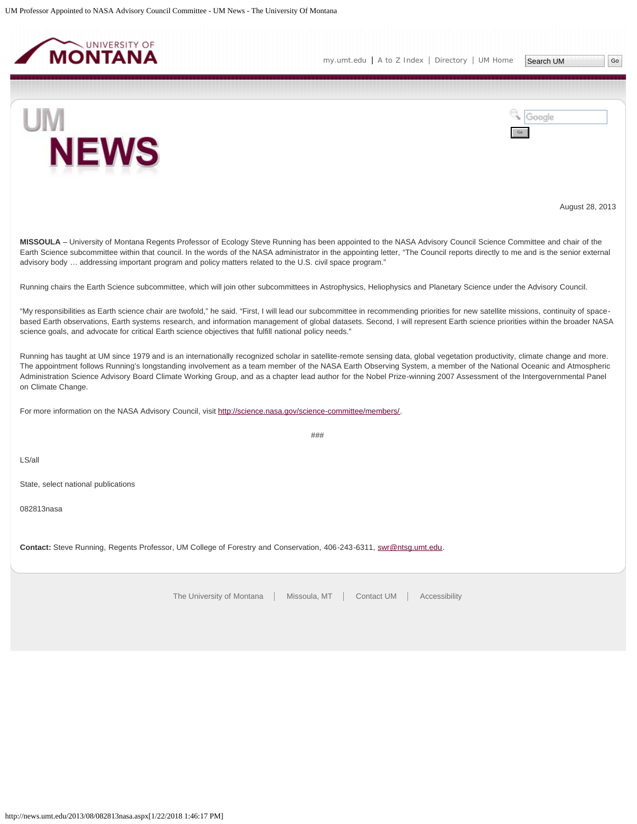<span id="page-11-0"></span>

Go

Google



August 28, 2013

**MISSOULA** – University of Montana Regents Professor of Ecology Steve Running has been appointed to the NASA Advisory Council Science Committee and chair of the Earth Science subcommittee within that council. In the words of the NASA administrator in the appointing letter, "The Council reports directly to me and is the senior external advisory body … addressing important program and policy matters related to the U.S. civil space program."

Running chairs the Earth Science subcommittee, which will join other subcommittees in Astrophysics, Heliophysics and Planetary Science under the Advisory Council.

"My responsibilities as Earth science chair are twofold," he said. "First, I will lead our subcommittee in recommending priorities for new satellite missions, continuity of spacebased Earth observations, Earth systems research, and information management of global datasets. Second, I will represent Earth science priorities within the broader NASA science goals, and advocate for critical Earth science objectives that fulfill national policy needs."

Running has taught at UM since 1979 and is an internationally recognized scholar in satellite-remote sensing data, global vegetation productivity, climate change and more. The appointment follows Running's longstanding involvement as a team member of the NASA Earth Observing System, a member of the National Oceanic and Atmospheric Administration Science Advisory Board Climate Working Group, and as a chapter lead author for the Nobel Prize-winning 2007 Assessment of the Intergovernmental Panel on Climate Change.

###

For more information on the NASA Advisory Council, visit [http://science.nasa.gov/science-committee/members/.](http://science.nasa.gov/science-committee/members/)

LS/all

State, select national publications

082813nasa

**Contact:** Steve Running, Regents Professor, UM College of Forestry and Conservation, 406-243-6311, [swr@ntsg.umt.edu](mailto:swr@ntsg.umt.edu).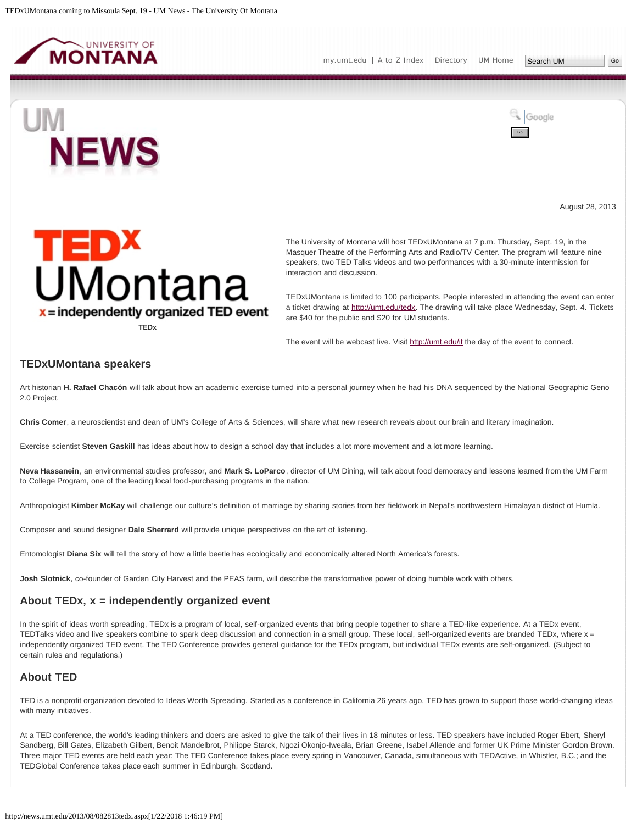<span id="page-12-0"></span>

Search UM



August 28, 2013



The University of Montana will host TEDxUMontana at 7 p.m. Thursday, Sept. 19, in the Masquer Theatre of the Performing Arts and Radio/TV Center. The program will feature nine speakers, two TED Talks videos and two performances with a 30-minute intermission for interaction and discussion.

TEDxUMontana is limited to 100 participants. People interested in attending the event can enter a ticket drawing at [http://umt.edu/tedx.](http://umt.edu/tedx) The drawing will take place Wednesday, Sept. 4. Tickets are \$40 for the public and \$20 for UM students.

The event will be webcast live. Visit<http://umt.edu/it> the day of the event to connect.

### **TEDxUMontana speakers**

Art historian **H. Rafael Chacón** will talk about how an academic exercise turned into a personal journey when he had his DNA sequenced by the National Geographic Geno 2.0 Project.

**Chris Comer**, a neuroscientist and dean of UM's College of Arts & Sciences, will share what new research reveals about our brain and literary imagination.

Exercise scientist **Steven Gaskill** has ideas about how to design a school day that includes a lot more movement and a lot more learning.

**Neva Hassanein**, an environmental studies professor, and **Mark S. LoParco**, director of UM Dining, will talk about food democracy and lessons learned from the UM Farm to College Program, one of the leading local food-purchasing programs in the nation.

Anthropologist **Kimber McKay** will challenge our culture's definition of marriage by sharing stories from her fieldwork in Nepal's northwestern Himalayan district of Humla.

Composer and sound designer **Dale Sherrard** will provide unique perspectives on the art of listening.

Entomologist **Diana Six** will tell the story of how a little beetle has ecologically and economically altered North America's forests.

**Josh Slotnick**, co-founder of Garden City Harvest and the PEAS farm, will describe the transformative power of doing humble work with others.

#### **About TEDx, x = independently organized event**

In the spirit of ideas worth spreading, TEDx is a program of local, self-organized events that bring people together to share a TED-like experience. At a TEDx event, TEDTalks video and live speakers combine to spark deep discussion and connection in a small group. These local, self-organized events are branded TEDx, where x = independently organized TED event. The TED Conference provides general guidance for the TEDx program, but individual TEDx events are self-organized. (Subject to certain rules and regulations.)

### **About TED**

TED is a nonprofit organization devoted to Ideas Worth Spreading. Started as a conference in California 26 years ago, TED has grown to support those world-changing ideas with many initiatives.

At a TED conference, the world's leading thinkers and doers are asked to give the talk of their lives in 18 minutes or less. TED speakers have included Roger Ebert, Sheryl Sandberg, Bill Gates, Elizabeth Gilbert, Benoit Mandelbrot, Philippe Starck, Ngozi Okonjo-Iweala, Brian Greene, Isabel Allende and former UK Prime Minister Gordon Brown. Three major TED events are held each year: The TED Conference takes place every spring in Vancouver, Canada, simultaneous with TEDActive, in Whistler, B.C.; and the TEDGlobal Conference takes place each summer in Edinburgh, Scotland.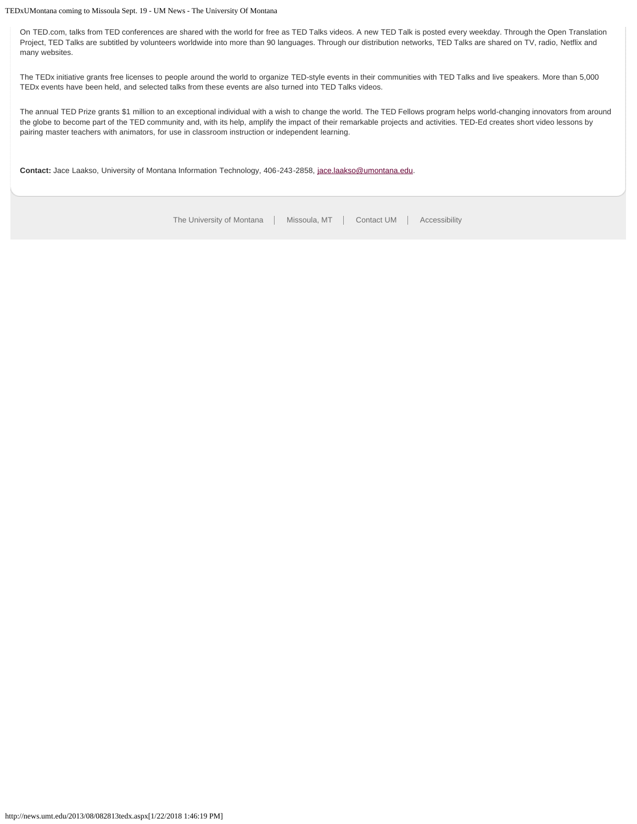TEDxUMontana coming to Missoula Sept. 19 - UM News - The University Of Montana

On TED.com, talks from TED conferences are shared with the world for free as TED Talks videos. A new TED Talk is posted every weekday. Through the Open Translation Project, TED Talks are subtitled by volunteers worldwide into more than 90 languages. Through our distribution networks, TED Talks are shared on TV, radio, Netflix and many websites.

The TEDx initiative grants free licenses to people around the world to organize TED-style events in their communities with TED Talks and live speakers. More than 5,000 TEDx events have been held, and selected talks from these events are also turned into TED Talks videos.

The annual TED Prize grants \$1 million to an exceptional individual with a wish to change the world. The TED Fellows program helps world-changing innovators from around the globe to become part of the TED community and, with its help, amplify the impact of their remarkable projects and activities. TED-Ed creates short video lessons by pairing master teachers with animators, for use in classroom instruction or independent learning.

**Contact:** Jace Laakso, University of Montana Information Technology, 406-243-2858, [jace.laakso@umontana.edu](mailto: jace.laakso@umontana.edu).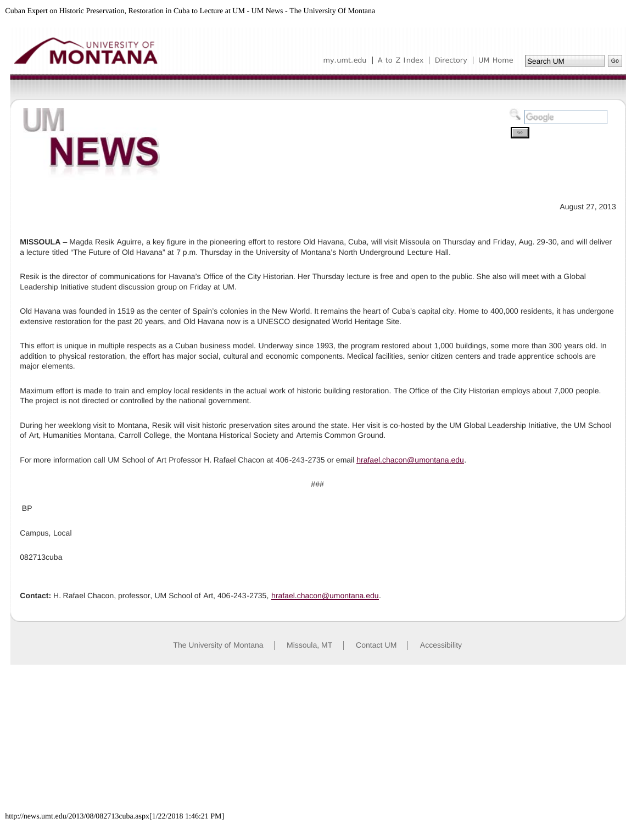<span id="page-14-0"></span>





August 27, 2013

**MISSOULA** – Magda Resik Aguirre, a key figure in the pioneering effort to restore Old Havana, Cuba, will visit Missoula on Thursday and Friday, Aug. 29-30, and will deliver a lecture titled "The Future of Old Havana" at 7 p.m. Thursday in the University of Montana's North Underground Lecture Hall.

Resik is the director of communications for Havana's Office of the City Historian. Her Thursday lecture is free and open to the public. She also will meet with a Global Leadership Initiative student discussion group on Friday at UM.

Old Havana was founded in 1519 as the center of Spain's colonies in the New World. It remains the heart of Cuba's capital city. Home to 400,000 residents, it has undergone extensive restoration for the past 20 years, and Old Havana now is a UNESCO designated World Heritage Site.

This effort is unique in multiple respects as a Cuban business model. Underway since 1993, the program restored about 1,000 buildings, some more than 300 years old. In addition to physical restoration, the effort has major social, cultural and economic components. Medical facilities, senior citizen centers and trade apprentice schools are major elements.

Maximum effort is made to train and employ local residents in the actual work of historic building restoration. The Office of the City Historian employs about 7,000 people. The project is not directed or controlled by the national government.

During her weeklong visit to Montana, Resik will visit historic preservation sites around the state. Her visit is co-hosted by the UM Global Leadership Initiative, the UM School of Art, Humanities Montana, Carroll College, the Montana Historical Society and Artemis Common Ground.

For more information call UM School of Art Professor H. Rafael Chacon at 406-243-2735 or email [hrafael.chacon@umontana.edu.](mailto:hrafael.chacon@umontana.edu)

###

BP

Campus, Local

082713cuba

Contact: H. Rafael Chacon, professor, UM School of Art, 406-243-2735, [hrafael.chacon@umontana.edu.](mailto:hrafael.chacon@umontana.edu)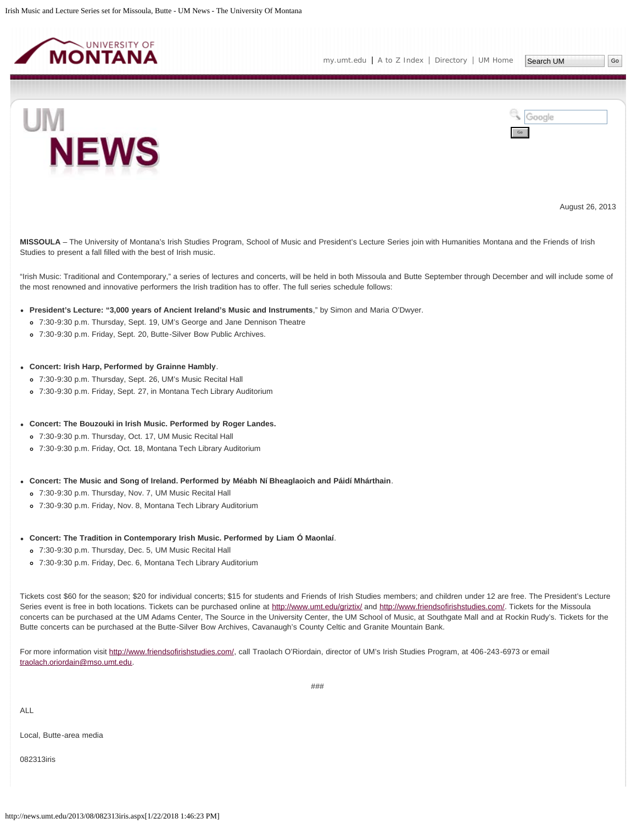<span id="page-15-0"></span>

UM



August 26, 2013

**MISSOULA** – The University of Montana's Irish Studies Program, School of Music and President's Lecture Series join with Humanities Montana and the Friends of Irish Studies to present a fall filled with the best of Irish music.

"Irish Music: Traditional and Contemporary," a series of lectures and concerts, will be held in both Missoula and Butte September through December and will include some of the most renowned and innovative performers the Irish tradition has to offer. The full series schedule follows:

**President's Lecture: "3,000 years of Ancient Ireland's Music and Instruments**," by Simon and Maria O'Dwyer.

- 7:30-9:30 p.m. Thursday, Sept. 19, UM's George and Jane Dennison Theatre
- 7:30-9:30 p.m. Friday, Sept. 20, Butte-Silver Bow Public Archives.
- **Concert: Irish Harp, Performed by Grainne Hambly**.
	- 7:30-9:30 p.m. Thursday, Sept. 26, UM's Music Recital Hall
	- 7:30-9:30 p.m. Friday, Sept. 27, in Montana Tech Library Auditorium
- **Concert: The Bouzouki in Irish Music. Performed by Roger Landes.**
	- 7:30-9:30 p.m. Thursday, Oct. 17, UM Music Recital Hall
	- 7:30-9:30 p.m. Friday, Oct. 18, Montana Tech Library Auditorium

**Concert: The Music and Song of Ireland. Performed by Méabh Ní Bheaglaoich and Páidí Mhárthain**.

- 7:30-9:30 p.m. Thursday, Nov. 7, UM Music Recital Hall
- 7:30-9:30 p.m. Friday, Nov. 8, Montana Tech Library Auditorium
- **Concert: The Tradition in Contemporary Irish Music. Performed by Liam Ó Maonlaí**.
	- 7:30-9:30 p.m. Thursday, Dec. 5, UM Music Recital Hall
	- 7:30-9:30 p.m. Friday, Dec. 6, Montana Tech Library Auditorium

Tickets cost \$60 for the season; \$20 for individual concerts; \$15 for students and Friends of Irish Studies members; and children under 12 are free. The President's Lecture Series event is free in both locations. Tickets can be purchased online at<http://www.umt.edu/griztix/> and<http://www.friendsofirishstudies.com/>. Tickets for the Missoula concerts can be purchased at the UM Adams Center, The Source in the University Center, the UM School of Music, at Southgate Mall and at Rockin Rudy's. Tickets for the Butte concerts can be purchased at the Butte-Silver Bow Archives, Cavanaugh's County Celtic and Granite Mountain Bank.

For more information visit<http://www.friendsofirishstudies.com/>, call Traolach O'Riordain, director of UM's Irish Studies Program, at 406-243-6973 or email [traolach.oriordain@mso.umt.edu](mailto:traolach.oriordain@mso.umt.edu).

ALL

Local, Butte-area media

082313iris

###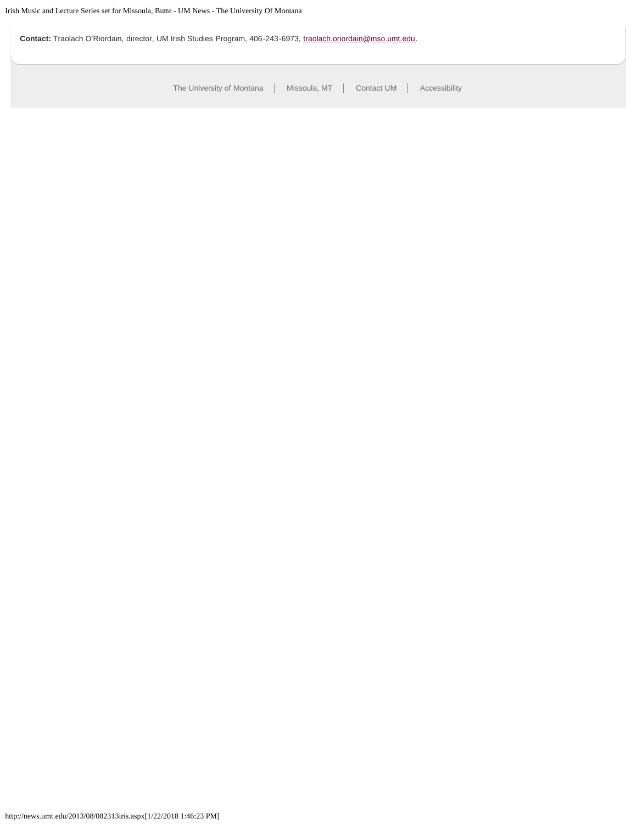**Contact:** Traolach O'Riordain, director, UM Irish Studies Program, 406-243-6973, [traolach.oriordain@mso.umt.edu.](mailto:traolach.oriordain@mso.umt.edu)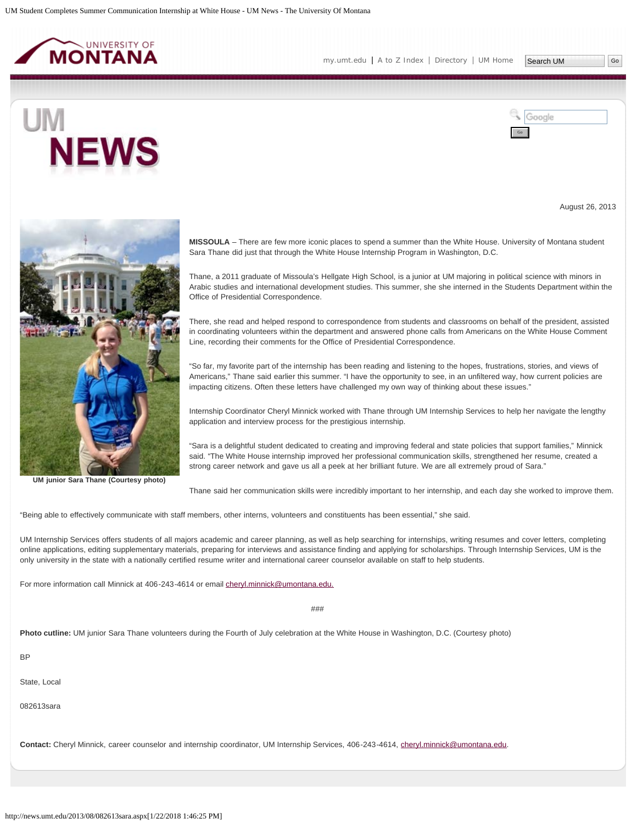<span id="page-17-0"></span>

Search UM



Google Go

August 26, 2013



**UM junior Sara Thane (Courtesy photo)**

**MISSOULA** – There are few more iconic places to spend a summer than the White House. University of Montana student Sara Thane did just that through the White House Internship Program in Washington, D.C.

Thane, a 2011 graduate of Missoula's Hellgate High School, is a junior at UM majoring in political science with minors in Arabic studies and international development studies. This summer, she she interned in the Students Department within the Office of Presidential Correspondence.

There, she read and helped respond to correspondence from students and classrooms on behalf of the president, assisted in coordinating volunteers within the department and answered phone calls from Americans on the White House Comment Line, recording their comments for the Office of Presidential Correspondence.

"So far, my favorite part of the internship has been reading and listening to the hopes, frustrations, stories, and views of Americans," Thane said earlier this summer. "I have the opportunity to see, in an unfiltered way, how current policies are impacting citizens. Often these letters have challenged my own way of thinking about these issues."

Internship Coordinator Cheryl Minnick worked with Thane through UM Internship Services to help her navigate the lengthy application and interview process for the prestigious internship.

"Sara is a delightful student dedicated to creating and improving federal and state policies that support families," Minnick said. "The White House internship improved her professional communication skills, strengthened her resume, created a strong career network and gave us all a peek at her brilliant future. We are all extremely proud of Sara."

Thane said her communication skills were incredibly important to her internship, and each day she worked to improve them.

"Being able to effectively communicate with staff members, other interns, volunteers and constituents has been essential," she said.

UM Internship Services offers students of all majors academic and career planning, as well as help searching for internships, writing resumes and cover letters, completing online applications, editing supplementary materials, preparing for interviews and assistance finding and applying for scholarships. Through Internship Services, UM is the only university in the state with a nationally certified resume writer and international career counselor available on staff to help students.

For more information call Minnick at 406-243-4614 or email [cheryl.minnick@umontana.edu.](mailto:cheryl.minnick@umontana.edu.)

###

**Photo cutline:** UM junior Sara Thane volunteers during the Fourth of July celebration at the White House in Washington, D.C. (Courtesy photo)

BP

State, Local

082613sara

**Contact:** Cheryl Minnick, career counselor and internship coordinator, UM Internship Services, 406-243-4614, [cheryl.minnick@umontana.edu](mailto:cheryl.minnick@umontana.edu).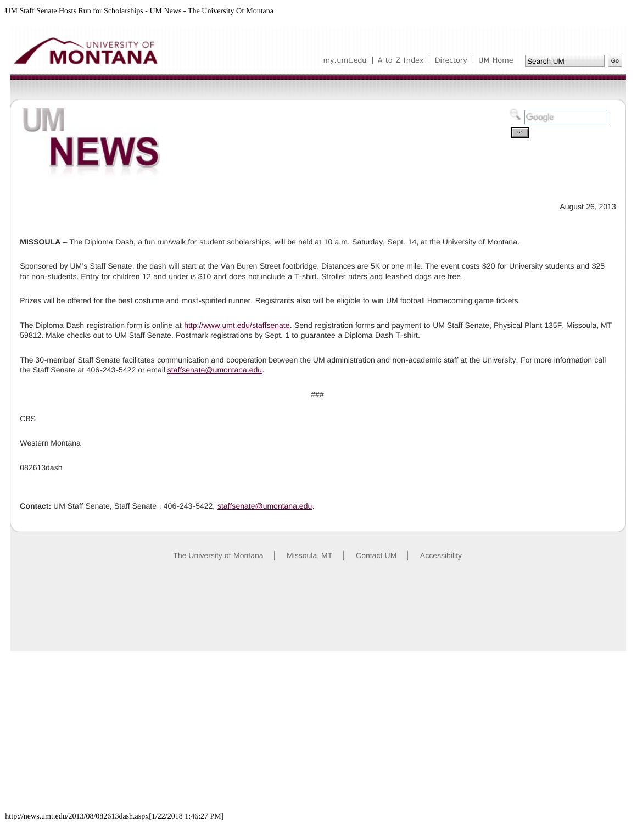<span id="page-19-0"></span>

**UM** 



August 26, 2013

**MISSOULA** – The Diploma Dash, a fun run/walk for student scholarships, will be held at 10 a.m. Saturday, Sept. 14, at the University of Montana.

Sponsored by UM's Staff Senate, the dash will start at the Van Buren Street footbridge. Distances are 5K or one mile. The event costs \$20 for University students and \$25 for non-students. Entry for children 12 and under is \$10 and does not include a T-shirt. Stroller riders and leashed dogs are free.

Prizes will be offered for the best costume and most-spirited runner. Registrants also will be eligible to win UM football Homecoming game tickets.

The Diploma Dash registration form is online at [http://www.umt.edu/staffsenate.](http://www.umt.edu/staffsenate) Send registration forms and payment to UM Staff Senate, Physical Plant 135F, Missoula, MT 59812. Make checks out to UM Staff Senate. Postmark registrations by Sept. 1 to guarantee a Diploma Dash T-shirt.

The 30-member Staff Senate facilitates communication and cooperation between the UM administration and non-academic staff at the University. For more information call the Staff Senate at 406-243-5422 or email [staffsenate@umontana.edu](mailto:staffsenate@umontana.edu).

###

CBS

Western Montana

082613dash

**Contact:** UM Staff Senate, Staff Senate , 406-243-5422, [staffsenate@umontana.edu](mailto:staffsenate@umontana.edu).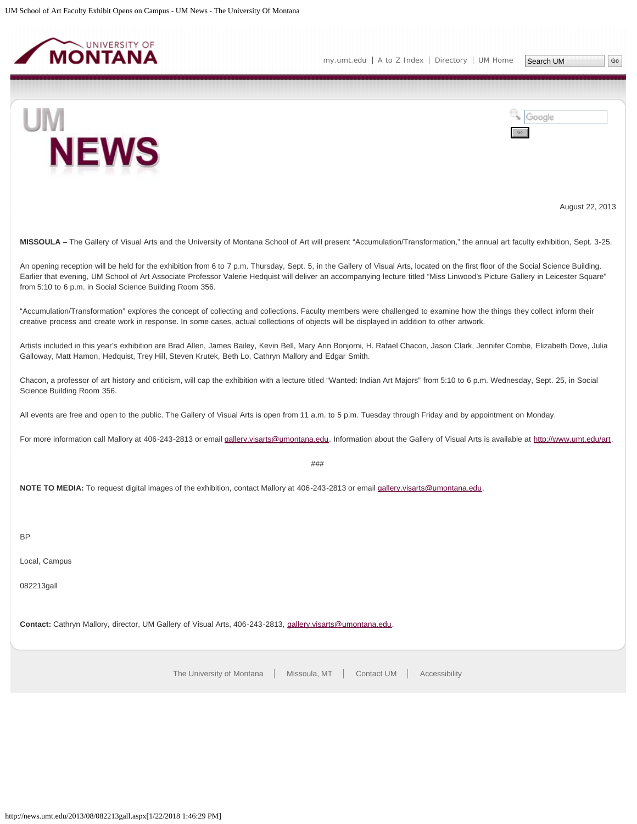<span id="page-20-0"></span>

Google

Go



August 22, 2013

**MISSOULA** – The Gallery of Visual Arts and the University of Montana School of Art will present "Accumulation/Transformation," the annual art faculty exhibition, Sept. 3-25.

An opening reception will be held for the exhibition from 6 to 7 p.m. Thursday, Sept. 5, in the Gallery of Visual Arts, located on the first floor of the Social Science Building. Earlier that evening, UM School of Art Associate Professor Valerie Hedquist will deliver an accompanying lecture titled "Miss Linwood's Picture Gallery in Leicester Square" from 5:10 to 6 p.m. in Social Science Building Room 356.

"Accumulation/Transformation" explores the concept of collecting and collections. Faculty members were challenged to examine how the things they collect inform their creative process and create work in response. In some cases, actual collections of objects will be displayed in addition to other artwork.

Artists included in this year's exhibition are Brad Allen, James Bailey, Kevin Bell, Mary Ann Bonjorni, H. Rafael Chacon, Jason Clark, Jennifer Combe, Elizabeth Dove, Julia Galloway, Matt Hamon, Hedquist, Trey Hill, Steven Krutek, Beth Lo, Cathryn Mallory and Edgar Smith.

Chacon, a professor of art history and criticism, will cap the exhibition with a lecture titled "Wanted: Indian Art Majors" from 5:10 to 6 p.m. Wednesday, Sept. 25, in Social Science Building Room 356.

All events are free and open to the public. The Gallery of Visual Arts is open from 11 a.m. to 5 p.m. Tuesday through Friday and by appointment on Monday.

For more information call Mallory at 406-243-2813 or email [gallery.visarts@umontana.edu](mailto:gallery.visarts@umontana.edu). Information about the Gallery of Visual Arts is available at [http://www.umt.edu/art.](http://www.umt.edu/art)

###

**NOTE TO MEDIA:** To request digital images of the exhibition, contact Mallory at 406-243-2813 or email [gallery.visarts@umontana.edu](mailto:gallery.visarts@umontana.edu).

BP

Local, Campus

082213gall

**Contact:** Cathryn Mallory, director, UM Gallery of Visual Arts, 406-243-2813, [gallery.visarts@umontana.edu](mailto:gallery.visarts@umontana.edu).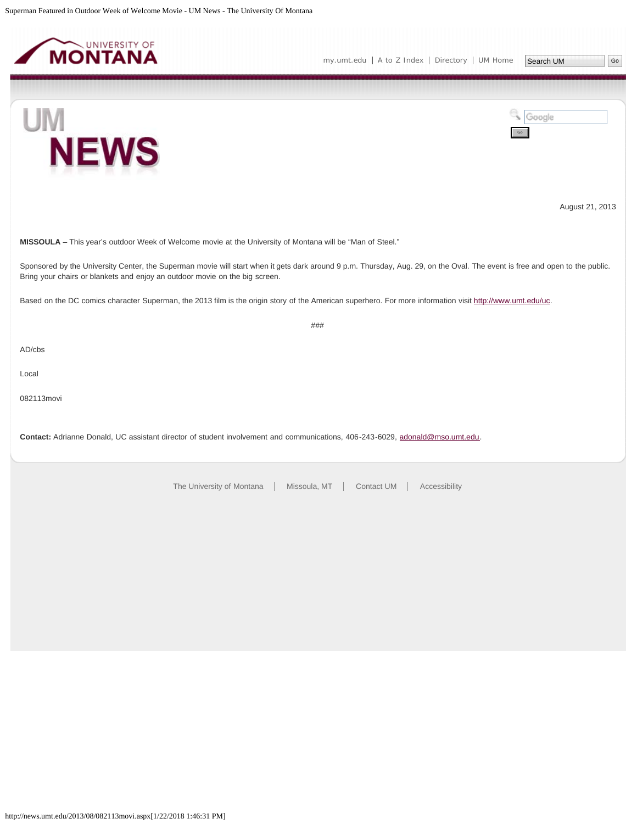<span id="page-21-0"></span>

**UM** 



August 21, 2013

**MISSOULA** – This year's outdoor Week of Welcome movie at the University of Montana will be "Man of Steel."

Sponsored by the University Center, the Superman movie will start when it gets dark around 9 p.m. Thursday, Aug. 29, on the Oval. The event is free and open to the public. Bring your chairs or blankets and enjoy an outdoor movie on the big screen.

###

Based on the DC comics character Superman, the 2013 film is the origin story of the American superhero. For more information visit <http://www.umt.edu/uc>.

AD/cbs

Local

082113movi

**Contact:** Adrianne Donald, UC assistant director of student involvement and communications, 406-243-6029, [adonald@mso.umt.edu](mailto:adonald@mso.umt.edu).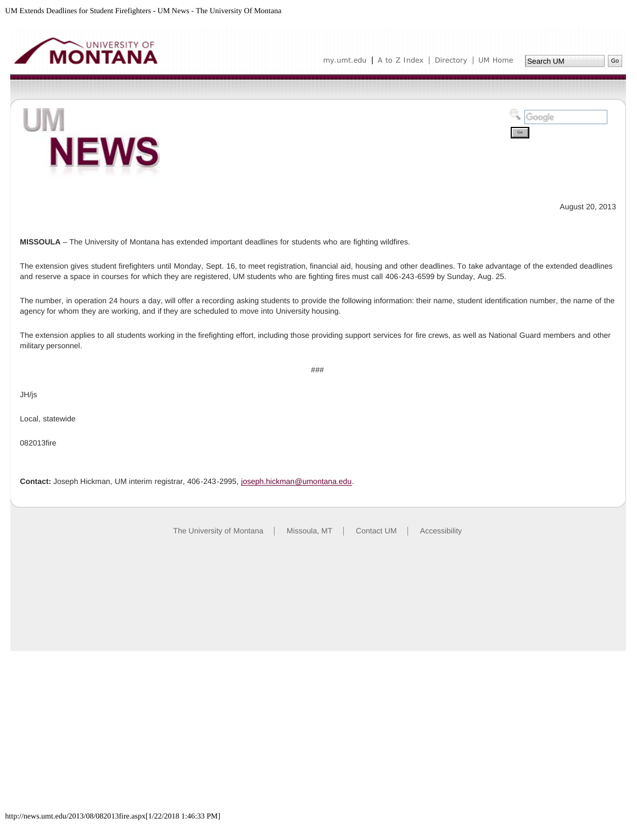<span id="page-22-0"></span>



Google Go

August 20, 2013

**MISSOULA** – The University of Montana has extended important deadlines for students who are fighting wildfires.

The extension gives student firefighters until Monday, Sept. 16, to meet registration, financial aid, housing and other deadlines. To take advantage of the extended deadlines and reserve a space in courses for which they are registered, UM students who are fighting fires must call 406-243-6599 by Sunday, Aug. 25.

The number, in operation 24 hours a day, will offer a recording asking students to provide the following information: their name, student identification number, the name of the agency for whom they are working, and if they are scheduled to move into University housing.

The extension applies to all students working in the firefighting effort, including those providing support services for fire crews, as well as National Guard members and other military personnel.

###

JH/js

Local, statewide

082013fire

**Contact:** Joseph Hickman, UM interim registrar, 406-243-2995, [joseph.hickman@umontana.edu.](mailto:joseph.hickman@umontana.edu)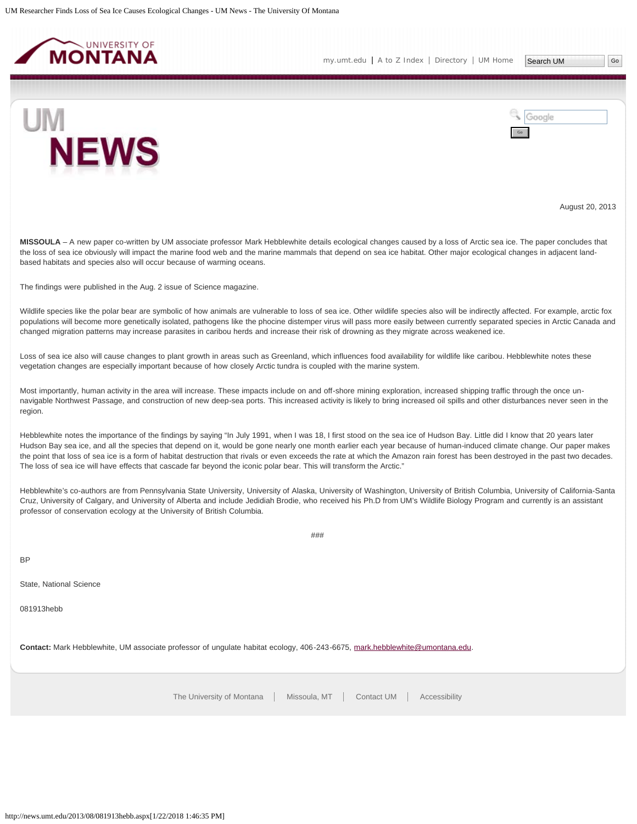<span id="page-23-0"></span>



August 20, 2013

**MISSOULA** – A new paper co-written by UM associate professor Mark Hebblewhite details ecological changes caused by a loss of Arctic sea ice. The paper concludes that the loss of sea ice obviously will impact the marine food web and the marine mammals that depend on sea ice habitat. Other major ecological changes in adjacent landbased habitats and species also will occur because of warming oceans.

The findings were published in the Aug. 2 issue of Science magazine.

Wildlife species like the polar bear are symbolic of how animals are vulnerable to loss of sea ice. Other wildlife species also will be indirectly affected. For example, arctic fox populations will become more genetically isolated, pathogens like the phocine distemper virus will pass more easily between currently separated species in Arctic Canada and changed migration patterns may increase parasites in caribou herds and increase their risk of drowning as they migrate across weakened ice.

Loss of sea ice also will cause changes to plant growth in areas such as Greenland, which influences food availability for wildlife like caribou. Hebblewhite notes these vegetation changes are especially important because of how closely Arctic tundra is coupled with the marine system.

Most importantly, human activity in the area will increase. These impacts include on and off-shore mining exploration, increased shipping traffic through the once unnavigable Northwest Passage, and construction of new deep-sea ports. This increased activity is likely to bring increased oil spills and other disturbances never seen in the region.

Hebblewhite notes the importance of the findings by saying "In July 1991, when I was 18, I first stood on the sea ice of Hudson Bay. Little did I know that 20 years later Hudson Bay sea ice, and all the species that depend on it, would be gone nearly one month earlier each year because of human-induced climate change. Our paper makes the point that loss of sea ice is a form of habitat destruction that rivals or even exceeds the rate at which the Amazon rain forest has been destroyed in the past two decades. The loss of sea ice will have effects that cascade far beyond the iconic polar bear. This will transform the Arctic."

Hebblewhite's co-authors are from Pennsylvania State University, University of Alaska, University of Washington, University of British Columbia, University of California-Santa Cruz, University of Calgary, and University of Alberta and include Jedidiah Brodie, who received his Ph.D from UM's Wildlife Biology Program and currently is an assistant professor of conservation ecology at the University of British Columbia.

###

BP

State, National Science

081913hebb

**Contact:** Mark Hebblewhite, UM associate professor of ungulate habitat ecology, 406-243-6675, [mark.hebblewhite@umontana.edu](mailto:mark.hebblewhite@umontana.edu).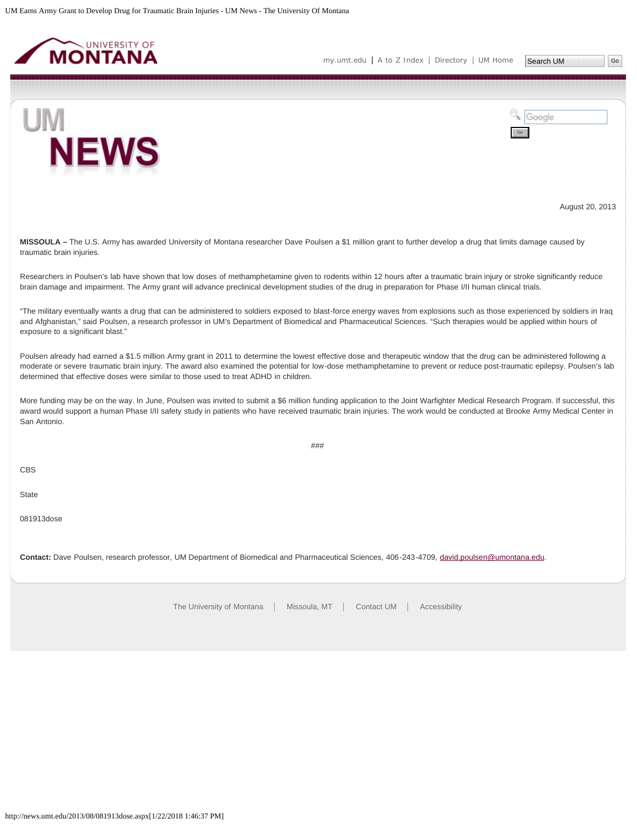<span id="page-24-0"></span>

UM

Go

Google



August 20, 2013

**MISSOULA –** The U.S. Army has awarded University of Montana researcher Dave Poulsen a \$1 million grant to further develop a drug that limits damage caused by traumatic brain injuries.

Researchers in Poulsen's lab have shown that low doses of methamphetamine given to rodents within 12 hours after a traumatic brain injury or stroke significantly reduce brain damage and impairment. The Army grant will advance preclinical development studies of the drug in preparation for Phase I/II human clinical trials.

"The military eventually wants a drug that can be administered to soldiers exposed to blast-force energy waves from explosions such as those experienced by soldiers in Iraq and Afghanistan," said Poulsen, a research professor in UM's Department of Biomedical and Pharmaceutical Sciences. "Such therapies would be applied within hours of exposure to a significant blast."

Poulsen already had earned a \$1.5 million Army grant in 2011 to determine the lowest effective dose and therapeutic window that the drug can be administered following a moderate or severe traumatic brain injury. The award also examined the potential for low-dose methamphetamine to prevent or reduce post-traumatic epilepsy. Poulsen's lab determined that effective doses were similar to those used to treat ADHD in children.

More funding may be on the way. In June, Poulsen was invited to submit a \$6 million funding application to the Joint Warfighter Medical Research Program. If successful, this award would support a human Phase I/II safety study in patients who have received traumatic brain injuries. The work would be conducted at Brooke Army Medical Center in San Antonio.

###

CBS

**State** 

081913dose

**Contact:** Dave Poulsen, research professor, UM Department of Biomedical and Pharmaceutical Sciences, 406-243-4709, [david.poulsen@umontana.edu](mailto:david.poulsen@umontana.edu).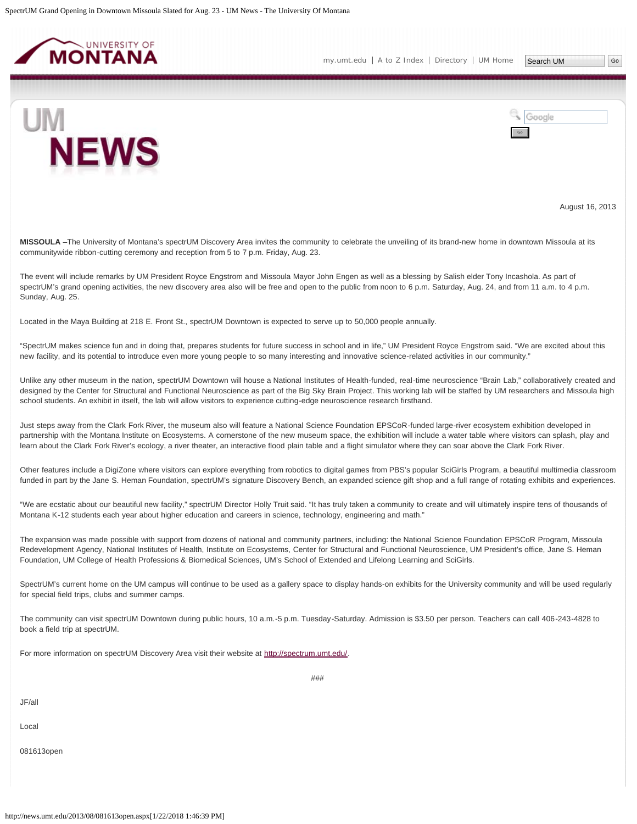<span id="page-25-0"></span>



Google Go

August 16, 2013

**MISSOULA** –The University of Montana's spectrUM Discovery Area invites the community to celebrate the unveiling of its brand-new home in downtown Missoula at its communitywide ribbon-cutting ceremony and reception from 5 to 7 p.m. Friday, Aug. 23.

The event will include remarks by UM President Royce Engstrom and Missoula Mayor John Engen as well as a blessing by Salish elder Tony Incashola. As part of spectrUM's grand opening activities, the new discovery area also will be free and open to the public from noon to 6 p.m. Saturday, Aug. 24, and from 11 a.m. to 4 p.m. Sunday, Aug. 25.

Located in the Maya Building at 218 E. Front St., spectrUM Downtown is expected to serve up to 50,000 people annually.

"SpectrUM makes science fun and in doing that, prepares students for future success in school and in life," UM President Royce Engstrom said. "We are excited about this new facility, and its potential to introduce even more young people to so many interesting and innovative science-related activities in our community."

Unlike any other museum in the nation, spectrUM Downtown will house a National Institutes of Health-funded, real-time neuroscience "Brain Lab," collaboratively created and designed by the Center for Structural and Functional Neuroscience as part of the Big Sky Brain Project. This working lab will be staffed by UM researchers and Missoula high school students. An exhibit in itself, the lab will allow visitors to experience cutting-edge neuroscience research firsthand.

Just steps away from the Clark Fork River, the museum also will feature a National Science Foundation EPSCoR-funded large-river ecosystem exhibition developed in partnership with the Montana Institute on Ecosystems. A cornerstone of the new museum space, the exhibition will include a water table where visitors can splash, play and learn about the Clark Fork River's ecology, a river theater, an interactive flood plain table and a flight simulator where they can soar above the Clark Fork River.

Other features include a DigiZone where visitors can explore everything from robotics to digital games from PBS's popular SciGirls Program, a beautiful multimedia classroom funded in part by the Jane S. Heman Foundation, spectrUM's signature Discovery Bench, an expanded science gift shop and a full range of rotating exhibits and experiences.

"We are ecstatic about our beautiful new facility," spectrUM Director Holly Truit said. "It has truly taken a community to create and will ultimately inspire tens of thousands of Montana K-12 students each year about higher education and careers in science, technology, engineering and math."

The expansion was made possible with support from dozens of national and community partners, including: the National Science Foundation EPSCoR Program, Missoula Redevelopment Agency, National Institutes of Health, Institute on Ecosystems, Center for Structural and Functional Neuroscience, UM President's office, Jane S. Heman Foundation, UM College of Health Professions & Biomedical Sciences, UM's School of Extended and Lifelong Learning and SciGirls.

SpectrUM's current home on the UM campus will continue to be used as a gallery space to display hands-on exhibits for the University community and will be used regularly for special field trips, clubs and summer camps.

The community can visit spectrUM Downtown during public hours, 10 a.m.-5 p.m. Tuesday-Saturday. Admission is \$3.50 per person. Teachers can call 406-243-4828 to book a field trip at spectrUM.

###

For more information on spectrUM Discovery Area visit their website at<http://spectrum.umt.edu/>.

JF/all

Local

081613open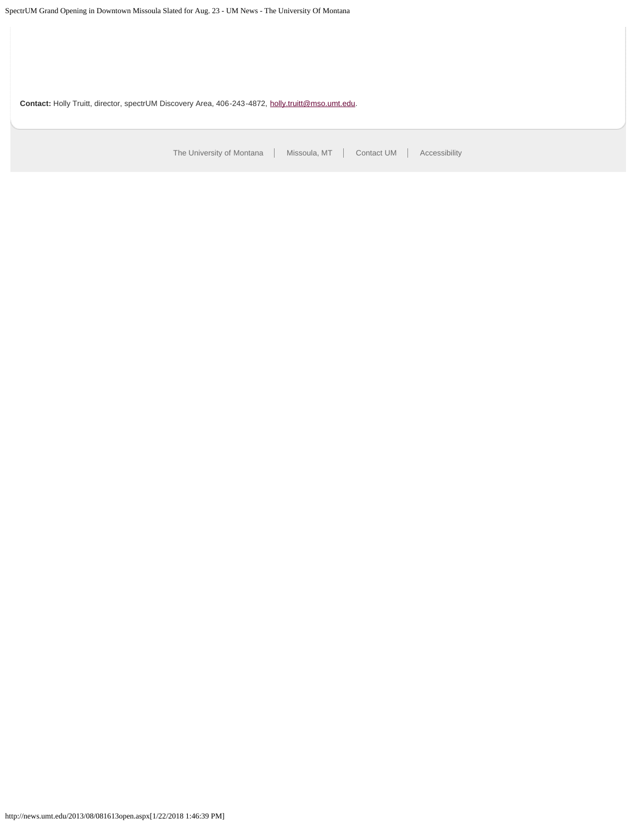Contact: Holly Truitt, director, spectrUM Discovery Area, 406-243-4872, [holly.truitt@mso.umt.edu.](mailto:holly.truitt@mso.umt.edu)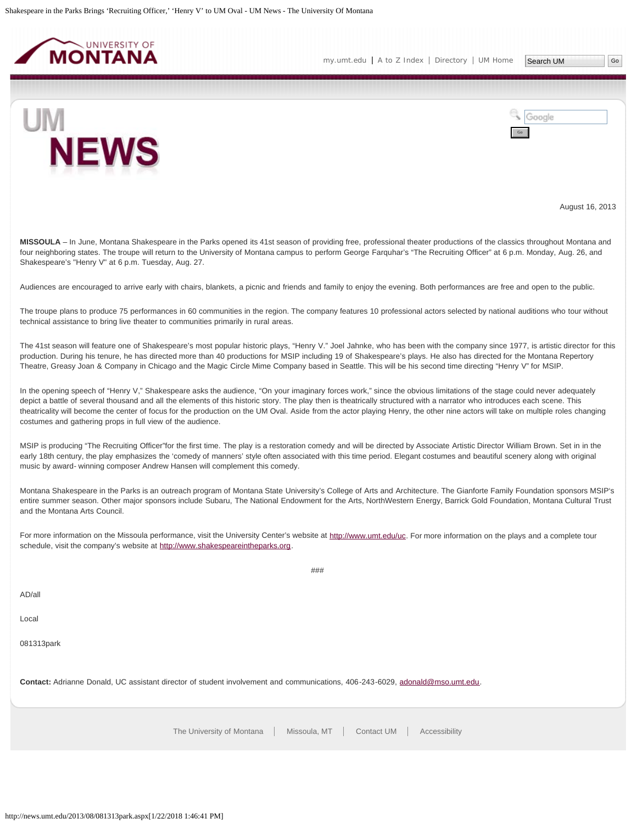<span id="page-27-0"></span>

UM

[my.umt.edu](http://my.umt.edu/) | [A to Z Index](http://www.umt.edu/search/atoz/) | [Directory](http://www.umt.edu/directory/) | [UM Home](http://www.umt.edu/)



August 16, 2013

**MISSOULA** – In June, Montana Shakespeare in the Parks opened its 41st season of providing free, professional theater productions of the classics throughout Montana and four neighboring states. The troupe will return to the University of Montana campus to perform George Farquhar's "The Recruiting Officer" at 6 p.m. Monday, Aug. 26, and Shakespeare's "Henry V" at 6 p.m. Tuesday, Aug. 27.

Audiences are encouraged to arrive early with chairs, blankets, a picnic and friends and family to enjoy the evening. Both performances are free and open to the public.

The troupe plans to produce 75 performances in 60 communities in the region. The company features 10 professional actors selected by national auditions who tour without technical assistance to bring live theater to communities primarily in rural areas.

The 41st season will feature one of Shakespeare's most popular historic plays, "Henry V." Joel Jahnke, who has been with the company since 1977, is artistic director for this production. During his tenure, he has directed more than 40 productions for MSIP including 19 of Shakespeare's plays. He also has directed for the Montana Repertory Theatre, Greasy Joan & Company in Chicago and the Magic Circle Mime Company based in Seattle. This will be his second time directing "Henry V" for MSIP.

In the opening speech of "Henry V," Shakespeare asks the audience, "On your imaginary forces work," since the obvious limitations of the stage could never adequately depict a battle of several thousand and all the elements of this historic story. The play then is theatrically structured with a narrator who introduces each scene. This theatricality will become the center of focus for the production on the UM Oval. Aside from the actor playing Henry, the other nine actors will take on multiple roles changing costumes and gathering props in full view of the audience.

MSIP is producing "The Recruiting Officer"for the first time. The play is a restoration comedy and will be directed by Associate Artistic Director William Brown. Set in in the early 18th century, the play emphasizes the 'comedy of manners' style often associated with this time period. Elegant costumes and beautiful scenery along with original music by award- winning composer Andrew Hansen will complement this comedy.

Montana Shakespeare in the Parks is an outreach program of Montana State University's College of Arts and Architecture. The Gianforte Family Foundation sponsors MSIP's entire summer season. Other major sponsors include Subaru, The National Endowment for the Arts, NorthWestern Energy, Barrick Gold Foundation, Montana Cultural Trust and the Montana Arts Council.

For more information on the Missoula performance, visit the University Center's website at<http://www.umt.edu/uc>. For more information on the plays and a complete tour schedule, visit the company's website at [http://www.shakespeareintheparks.org.](http://www.shakespeareintheparks.org/)

###

AD/all

Local

081313park

**Contact:** Adrianne Donald, UC assistant director of student involvement and communications, 406-243-6029, [adonald@mso.umt.edu](mailto:adonald@mso.umt.edu).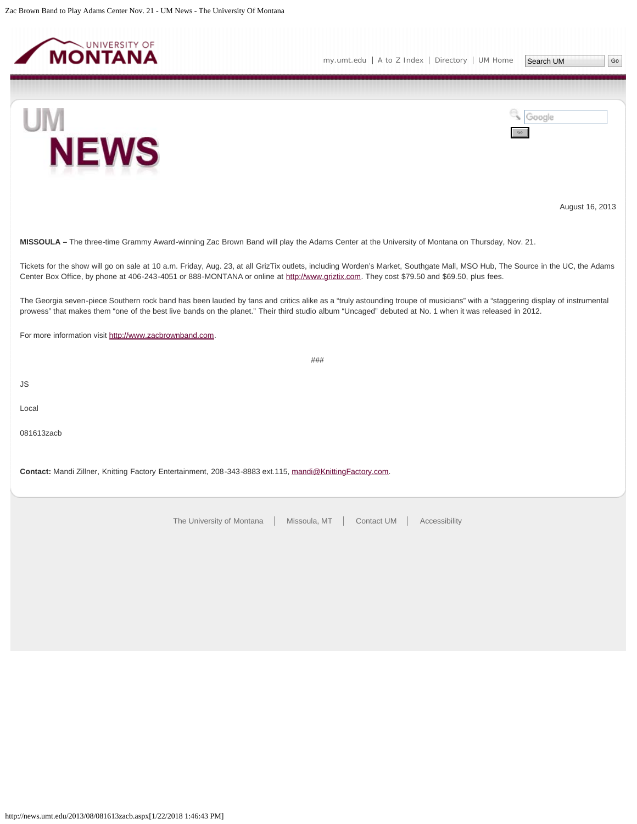<span id="page-28-0"></span>



Google Go

August 16, 2013

**MISSOULA –** The three-time Grammy Award-winning Zac Brown Band will play the Adams Center at the University of Montana on Thursday, Nov. 21.

Tickets for the show will go on sale at 10 a.m. Friday, Aug. 23, at all GrizTix outlets, including Worden's Market, Southgate Mall, MSO Hub, The Source in the UC, the Adams Center Box Office, by phone at 406-243-4051 or 888-MONTANA or online at [http://www.griztix.com](http://www.griztix.com/). They cost \$79.50 and \$69.50, plus fees.

The Georgia seven-piece Southern rock band has been lauded by fans and critics alike as a "truly astounding troupe of musicians" with a "staggering display of instrumental prowess" that makes them "one of the best live bands on the planet." Their third studio album "Uncaged" debuted at No. 1 when it was released in 2012.

For more information visit [http://www.zacbrownband.com](http://www.zacbrownband.com/).

###

JS

Local

081613zacb

**Contact:** Mandi Zillner, Knitting Factory Entertainment, 208-343-8883 ext.115, [mandi@KnittingFactory.com.](mailto:mandi@KnittingFactory.com)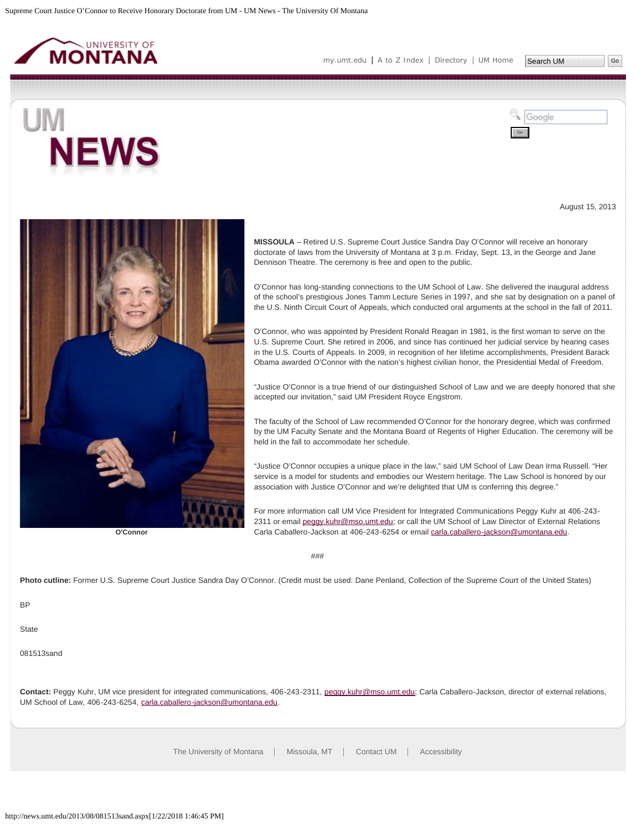<span id="page-29-0"></span>

UM

Search UM



August 15, 2013

**O'Connor**

**MISSOULA** – Retired U.S. Supreme Court Justice Sandra Day O'Connor will receive an honorary doctorate of laws from the University of Montana at 3 p.m. Friday, Sept. 13, in the George and Jane Dennison Theatre. The ceremony is free and open to the public.

O'Connor has long-standing connections to the UM School of Law. She delivered the inaugural address of the school's prestigious Jones Tamm Lecture Series in 1997, and she sat by designation on a panel of the U.S. Ninth Circuit Court of Appeals, which conducted oral arguments at the school in the fall of 2011.

O'Connor, who was appointed by President Ronald Reagan in 1981, is the first woman to serve on the U.S. Supreme Court. She retired in 2006, and since has continued her judicial service by hearing cases in the U.S. Courts of Appeals. In 2009, in recognition of her lifetime accomplishments, President Barack Obama awarded O'Connor with the nation's highest civilian honor, the Presidential Medal of Freedom.

"Justice O'Connor is a true friend of our distinguished School of Law and we are deeply honored that she accepted our invitation," said UM President Royce Engstrom.

The faculty of the School of Law recommended O'Connor for the honorary degree, which was confirmed by the UM Faculty Senate and the Montana Board of Regents of Higher Education. The ceremony will be held in the fall to accommodate her schedule.

"Justice O'Connor occupies a unique place in the law," said UM School of Law Dean Irma Russell. "Her service is a model for students and embodies our Western heritage. The Law School is honored by our association with Justice O'Connor and we're delighted that UM is conferring this degree."

For more information call UM Vice President for Integrated Communications Peggy Kuhr at 406-243 2311 or email [peggy.kuhr@mso.umt.edu;](mailto:peggy.kuhr@mso.umt.edu) or call the UM School of Law Director of External Relations Carla Caballero-Jackson at 406-243-6254 or email [carla.caballero-jackson@umontana.edu](mailto:carla.caballero-jackson@umontana.edu).

###

**Photo cutline:** Former U.S. Supreme Court Justice Sandra Day O'Connor. (Credit must be used: Dane Penland, Collection of the Supreme Court of the United States)

BP

**State** 

081513sand

**Contact:** Peggy Kuhr, UM vice president for integrated communications, 406-243-2311, [peggy.kuhr@mso.umt.edu;](mailto:peggy.kuhr@mso.umt.edu) Carla Caballero-Jackson, director of external relations, UM School of Law, 406-243-6254, [carla.caballero-jackson@umontana.edu](mailto:carla.caballero-jackson@umontana.edu).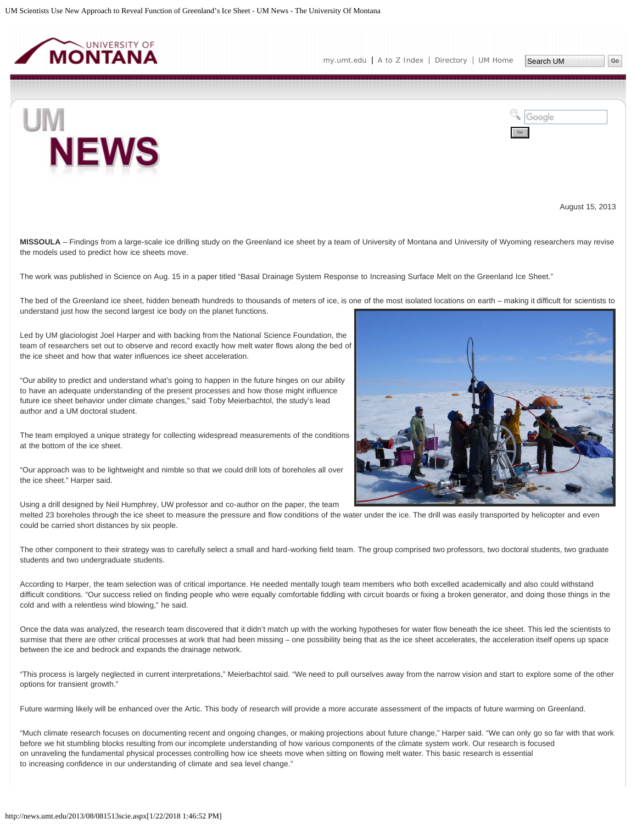<span id="page-30-0"></span>

[my.umt.edu](http://my.umt.edu/) | [A to Z Index](http://www.umt.edu/search/atoz/) | [Directory](http://www.umt.edu/directory/) | [UM Home](http://www.umt.edu/)





August 15, 2013

**MISSOULA** – Findings from a large-scale ice drilling study on the Greenland ice sheet by a team of University of Montana and University of Wyoming researchers may revise the models used to predict how ice sheets move.

The work was published in Science on Aug. 15 in a paper titled "Basal Drainage System Response to Increasing Surface Melt on the Greenland Ice Sheet."

The bed of the Greenland ice sheet, hidden beneath hundreds to thousands of meters of ice, is one of the most isolated locations on earth – making it difficult for scientists to understand just how the second largest ice body on the planet functions.

| Led by UM glaciologist Joel Harper and with backing from the National Science Foundation, the   |
|-------------------------------------------------------------------------------------------------|
| team of researchers set out to observe and record exactly how melt water flows along the bed of |
| the ice sheet and how that water influences ice sheet acceleration.                             |

"Our ability to predict and understand what's going to happen in the future hinges on our ability to have an adequate understanding of the present processes and how those might influence future ice sheet behavior under climate changes," said Toby Meierbachtol, the study's lead author and a UM doctoral student.

The team employed a unique strategy for collecting widespread measurements of the conditions at the bottom of the ice sheet.

"Our approach was to be lightweight and nimble so that we could drill lots of boreholes all over the ice sheet." Harper said.

Using a drill designed by Neil Humphrey, UW professor and co-author on the paper, the team

melted 23 boreholes through the ice sheet to measure the pressure and flow conditions of the water under the ice. The drill was easily transported by helicopter and even could be carried short distances by six people.

The other component to their strategy was to carefully select a small and hard-working field team. The group comprised two professors, two doctoral students, two graduate students and two undergraduate students.

According to Harper, the team selection was of critical importance. He needed mentally tough team members who both excelled academically and also could withstand difficult conditions. "Our success relied on finding people who were equally comfortable fiddling with circuit boards or fixing a broken generator, and doing those things in the cold and with a relentless wind blowing," he said.

Once the data was analyzed, the research team discovered that it didn't match up with the working hypotheses for water flow beneath the ice sheet. This led the scientists to surmise that there are other critical processes at work that had been missing – one possibility being that as the ice sheet accelerates, the acceleration itself opens up space between the ice and bedrock and expands the drainage network.

"This process is largely neglected in current interpretations," Meierbachtol said. "We need to pull ourselves away from the narrow vision and start to explore some of the other options for transient growth."

Future warming likely will be enhanced over the Artic. This body of research will provide a more accurate assessment of the impacts of future warming on Greenland.

"Much climate research focuses on documenting recent and ongoing changes, or making projections about future change," Harper said. "We can only go so far with that work before we hit stumbling blocks resulting from our incomplete understanding of how various components of the climate system work. Our research is focused on unraveling the fundamental physical processes controlling how ice sheets move when sitting on flowing melt water. This basic research is essential to increasing confidence in our understanding of climate and sea level change."

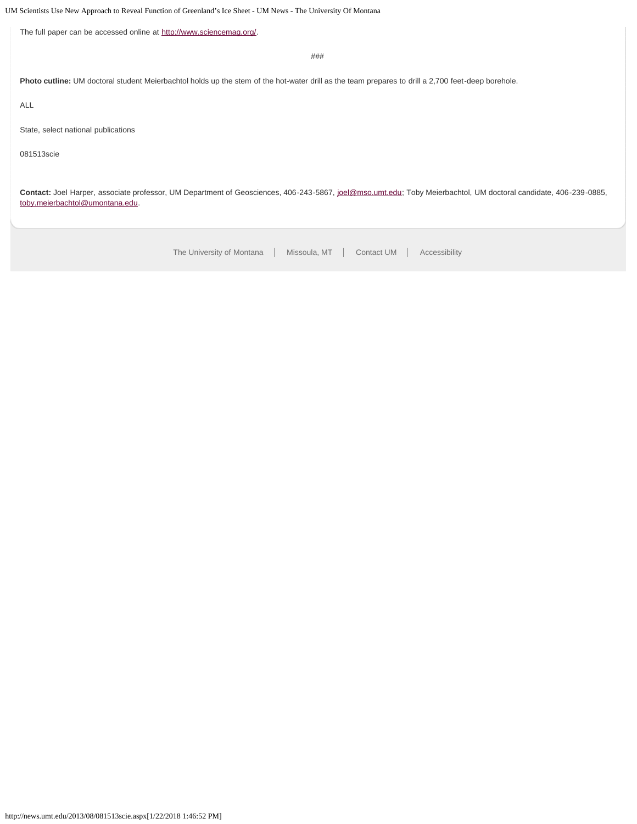UM Scientists Use New Approach to Reveal Function of Greenland's Ice Sheet - UM News - The University Of Montana

The full paper can be accessed online at<http://www.sciencemag.org/>.

###

Photo cutline: UM doctoral student Meierbachtol holds up the stem of the hot-water drill as the team prepares to drill a 2,700 feet-deep borehole.

ALL

State, select national publications

081513scie

Contact: Joel Harper, associate professor, UM Department of Geosciences, 406-243-5867, [joel@mso.umt.edu](mailto:joel@mso.umt.edu); Toby Meierbachtol, UM doctoral candidate, 406-239-0885, [toby.meierbachtol@umontana.edu](mailto:toby.meierbachtol@umontana.edu).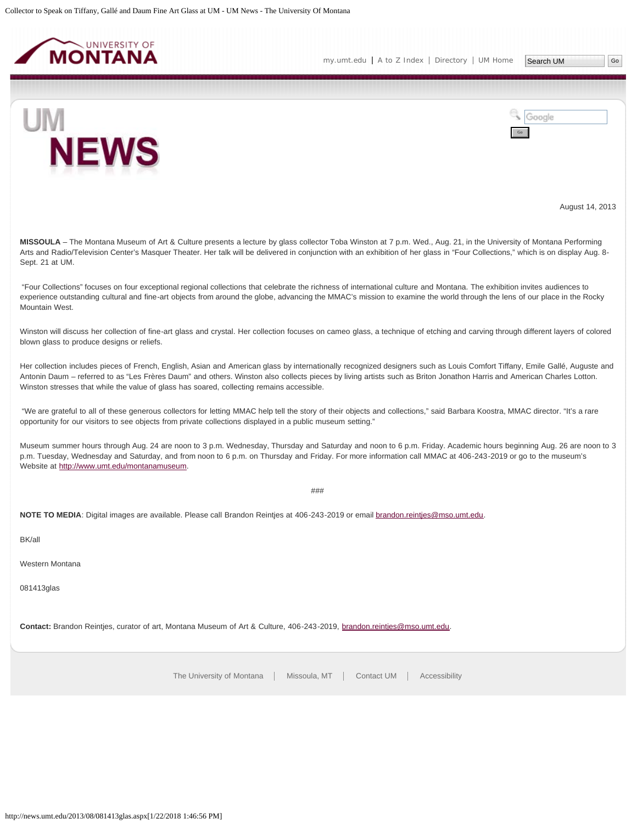<span id="page-32-0"></span>



August 14, 2013

**MISSOULA** – The Montana Museum of Art & Culture presents a lecture by glass collector Toba Winston at 7 p.m. Wed., Aug. 21, in the University of Montana Performing Arts and Radio/Television Center's Masquer Theater. Her talk will be delivered in conjunction with an exhibition of her glass in "Four Collections," which is on display Aug. 8- Sept. 21 at UM.

"Four Collections" focuses on four exceptional regional collections that celebrate the richness of international culture and Montana. The exhibition invites audiences to experience outstanding cultural and fine-art objects from around the globe, advancing the MMAC's mission to examine the world through the lens of our place in the Rocky Mountain West.

Winston will discuss her collection of fine-art glass and crystal. Her collection focuses on cameo glass, a technique of etching and carving through different layers of colored blown glass to produce designs or reliefs.

Her collection includes pieces of French, English, Asian and American glass by internationally recognized designers such as Louis Comfort Tiffany, Emile Gallé, Auguste and Antonin Daum – referred to as "Les Frères Daum" and others. Winston also collects pieces by living artists such as Briton Jonathon Harris and American Charles Lotton. Winston stresses that while the value of glass has soared, collecting remains accessible.

"We are grateful to all of these generous collectors for letting MMAC help tell the story of their objects and collections," said Barbara Koostra, MMAC director. "It's a rare opportunity for our visitors to see objects from private collections displayed in a public museum setting."

Museum summer hours through Aug. 24 are noon to 3 p.m. Wednesday, Thursday and Saturday and noon to 6 p.m. Friday. Academic hours beginning Aug. 26 are noon to 3 p.m. Tuesday, Wednesday and Saturday, and from noon to 6 p.m. on Thursday and Friday. For more information call MMAC at 406-243-2019 or go to the museum's Website at [http://www.umt.edu/montanamuseum.](http://www.umt.edu/montanamuseum)

###

**NOTE TO MEDIA**: Digital images are available. Please call Brandon Reintjes at 406-243-2019 or email [brandon.reintjes@mso.umt.edu.](mailto:brandon.reintjes@mso.umt.edu)

BK/all

Western Montana

081413glas

**Contact:** Brandon Reintjes, curator of art, Montana Museum of Art & Culture, 406-243-2019, [brandon.reintjes@mso.umt.edu.](mailto:brandon.reintjes@mso.umt.edu)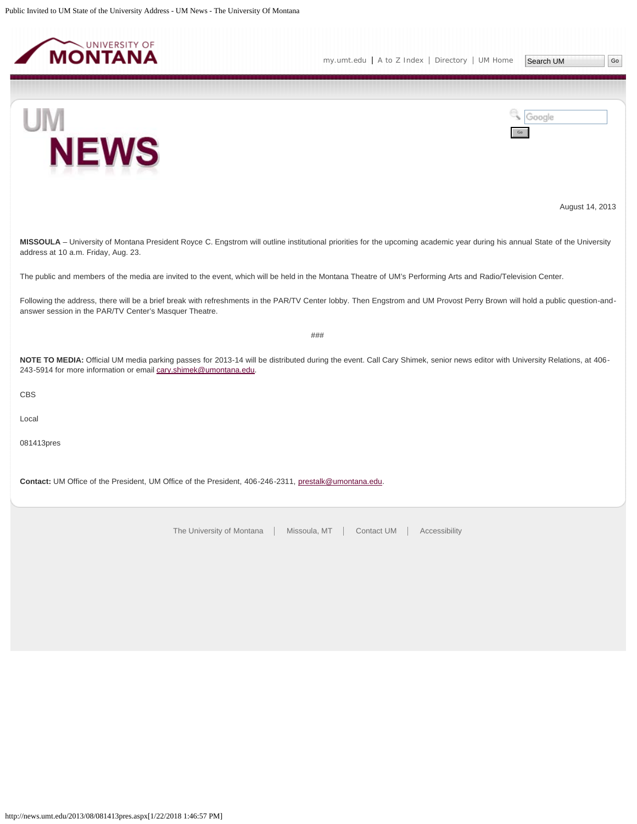<span id="page-33-0"></span>

**UM** 





August 14, 2013

**MISSOULA** – University of Montana President Royce C. Engstrom will outline institutional priorities for the upcoming academic year during his annual State of the University address at 10 a.m. Friday, Aug. 23.

The public and members of the media are invited to the event, which will be held in the Montana Theatre of UM's Performing Arts and Radio/Television Center.

Following the address, there will be a brief break with refreshments in the PAR/TV Center lobby. Then Engstrom and UM Provost Perry Brown will hold a public question-andanswer session in the PAR/TV Center's Masquer Theatre.

###

NOTE TO MEDIA: Official UM media parking passes for 2013-14 will be distributed during the event. Call Cary Shimek, senior news editor with University Relations, at 406243-5914 for more information or email [cary.shimek@umontana.edu.](mailto:cary.shimek@umontana.edu)

CBS

Local

081413pres

**Contact:** UM Office of the President, UM Office of the President, 406-246-2311, [prestalk@umontana.edu.](mailto:prestalk@umontana.edu)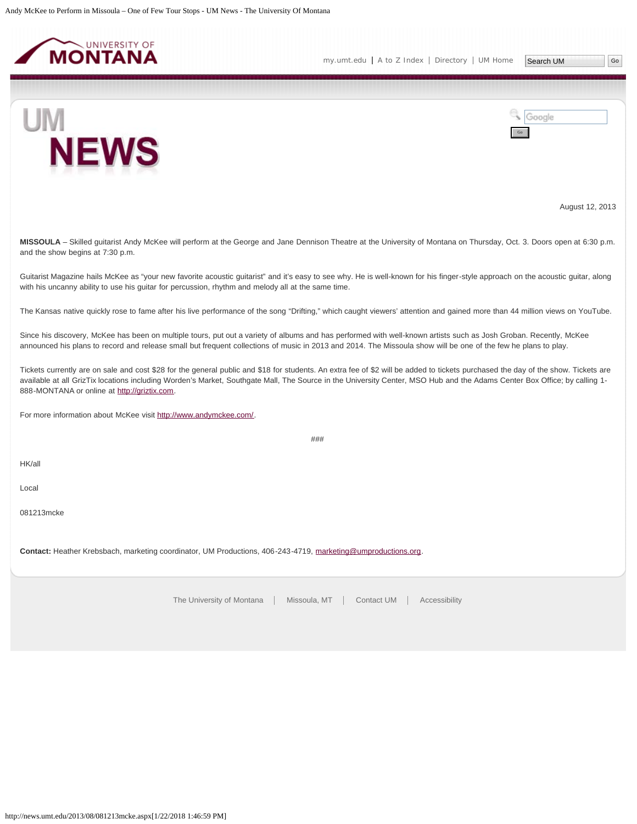<span id="page-34-0"></span>

UM





August 12, 2013

**MISSOULA** – Skilled guitarist Andy McKee will perform at the George and Jane Dennison Theatre at the University of Montana on Thursday, Oct. 3. Doors open at 6:30 p.m. and the show begins at 7:30 p.m.

Guitarist Magazine hails McKee as "your new favorite acoustic guitarist" and it's easy to see why. He is well-known for his finger-style approach on the acoustic guitar, along with his uncanny ability to use his guitar for percussion, rhythm and melody all at the same time.

The Kansas native quickly rose to fame after his live performance of the song "Drifting," which caught viewers' attention and gained more than 44 million views on YouTube.

Since his discovery, McKee has been on multiple tours, put out a variety of albums and has performed with well-known artists such as Josh Groban. Recently, McKee announced his plans to record and release small but frequent collections of music in 2013 and 2014. The Missoula show will be one of the few he plans to play.

Tickets currently are on sale and cost \$28 for the general public and \$18 for students. An extra fee of \$2 will be added to tickets purchased the day of the show. Tickets are available at all GrizTix locations including Worden's Market, Southgate Mall, The Source in the University Center, MSO Hub and the Adams Center Box Office; by calling 1888-MONTANA or online at [http://griztix.com](http://griztix.com/).

###

For more information about McKee visit<http://www.andymckee.com/>.

HK/all

Local

081213mcke

**Contact:** Heather Krebsbach, marketing coordinator, UM Productions, 406-243-4719, [marketing@umproductions.org](mailto:marketing@umproductions.org).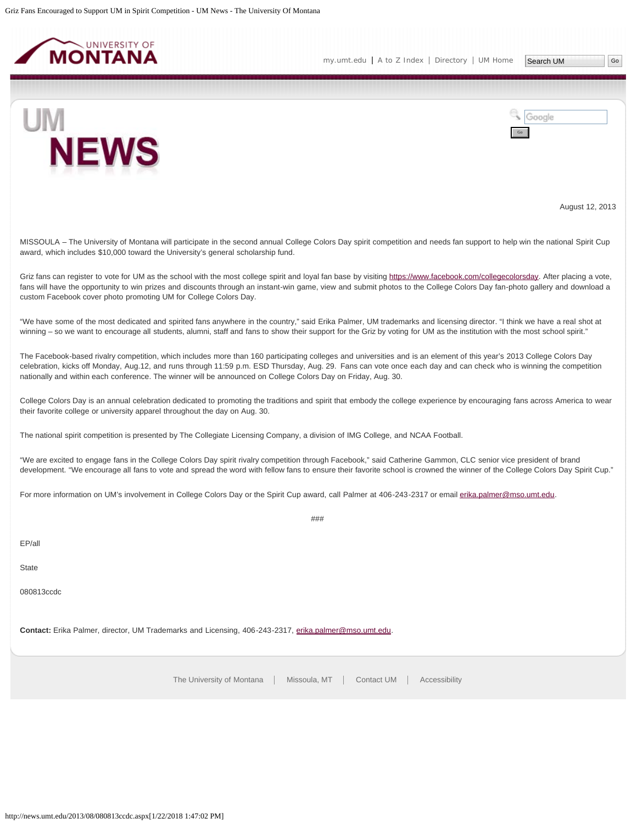<span id="page-35-0"></span>



Go

Google



August 12, 2013

MISSOULA – The University of Montana will participate in the second annual College Colors Day spirit competition and needs fan support to help win the national Spirit Cup award, which includes \$10,000 toward the University's general scholarship fund.

Griz fans can register to vote for UM as the school with the most college spirit and loyal fan base by visiting [https://www.facebook.com/collegecolorsday.](https://www.facebook.com/collegecolorsday) After placing a vote, fans will have the opportunity to win prizes and discounts through an instant-win game, view and submit photos to the College Colors Day fan-photo gallery and download a custom Facebook cover photo promoting UM for College Colors Day.

"We have some of the most dedicated and spirited fans anywhere in the country," said Erika Palmer, UM trademarks and licensing director. "I think we have a real shot at winning - so we want to encourage all students, alumni, staff and fans to show their support for the Griz by voting for UM as the institution with the most school spirit."

The Facebook-based rivalry competition, which includes more than 160 participating colleges and universities and is an element of this year's 2013 College Colors Day celebration, kicks off Monday, Aug.12, and runs through 11:59 p.m. ESD Thursday, Aug. 29. Fans can vote once each day and can check who is winning the competition nationally and within each conference. The winner will be announced on College Colors Day on Friday, Aug. 30.

College Colors Day is an annual celebration dedicated to promoting the traditions and spirit that embody the college experience by encouraging fans across America to wear their favorite college or university apparel throughout the day on Aug. 30.

The national spirit competition is presented by The Collegiate Licensing Company, a division of IMG College, and NCAA Football.

"We are excited to engage fans in the College Colors Day spirit rivalry competition through Facebook," said Catherine Gammon, CLC senior vice president of brand development. "We encourage all fans to vote and spread the word with fellow fans to ensure their favorite school is crowned the winner of the College Colors Day Spirit Cup."

###

For more information on UM's involvement in College Colors Day or the Spirit Cup award, call Palmer at 406-243-2317 or email [erika.palmer@mso.umt.edu](mailto:erika.palmer@mso.umt.edu).

EP/all

**State** 

080813ccdc

**Contact:** Erika Palmer, director, UM Trademarks and Licensing, 406-243-2317, [erika.palmer@mso.umt.edu](mailto:erika.palmer@mso.umt.edu).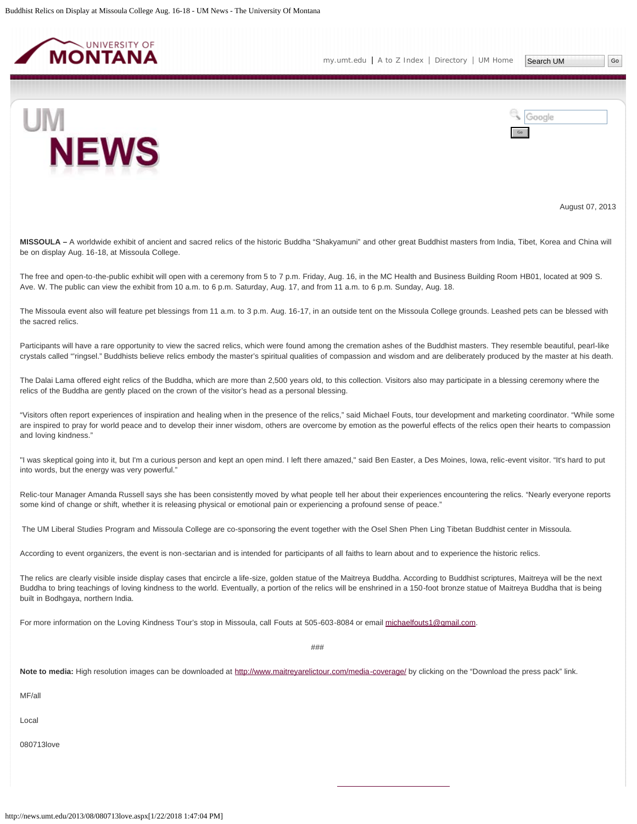<span id="page-36-0"></span>

Go

Google



August 07, 2013

**MISSOULA –** A worldwide exhibit of ancient and sacred relics of the historic Buddha "Shakyamuni" and other great Buddhist masters from India, Tibet, Korea and China will be on display Aug. 16-18, at Missoula College.

The free and open-to-the-public exhibit will open with a ceremony from 5 to 7 p.m. Friday, Aug. 16, in the MC Health and Business Building Room HB01, located at 909 S. Ave. W. The public can view the exhibit from 10 a.m. to 6 p.m. Saturday, Aug. 17, and from 11 a.m. to 6 p.m. Sunday, Aug. 18.

The Missoula event also will feature pet blessings from 11 a.m. to 3 p.m. Aug. 16-17, in an outside tent on the Missoula College grounds. Leashed pets can be blessed with the sacred relics.

Participants will have a rare opportunity to view the sacred relics, which were found among the cremation ashes of the Buddhist masters. They resemble beautiful, pearl-like crystals called "'ringsel." Buddhists believe relics embody the master's spiritual qualities of compassion and wisdom and are deliberately produced by the master at his death.

The Dalai Lama offered eight relics of the Buddha, which are more than 2,500 years old, to this collection. Visitors also may participate in a blessing ceremony where the relics of the Buddha are gently placed on the crown of the visitor's head as a personal blessing.

"Visitors often report experiences of inspiration and healing when in the presence of the relics," said Michael Fouts, tour development and marketing coordinator. "While some are inspired to pray for world peace and to develop their inner wisdom, others are overcome by emotion as the powerful effects of the relics open their hearts to compassion and loving kindness."

"I was skeptical going into it, but I'm a curious person and kept an open mind. I left there amazed," said Ben Easter, a Des Moines, Iowa, relic-event visitor. "It's hard to put into words, but the energy was very powerful."

Relic-tour Manager Amanda Russell says she has been consistently moved by what people tell her about their experiences encountering the relics. "Nearly everyone reports some kind of change or shift, whether it is releasing physical or emotional pain or experiencing a profound sense of peace."

The UM Liberal Studies Program and Missoula College are co-sponsoring the event together with the Osel Shen Phen Ling Tibetan Buddhist center in Missoula.

According to event organizers, the event is non-sectarian and is intended for participants of all faiths to learn about and to experience the historic relics.

The relics are clearly visible inside display cases that encircle a life-size, golden statue of the Maitreya Buddha. According to Buddhist scriptures, Maitreya will be the next Buddha to bring teachings of loving kindness to the world. Eventually, a portion of the relics will be enshrined in a 150-foot bronze statue of Maitreya Buddha that is being built in Bodhgaya, northern India.

For more information on the Loving Kindness Tour's stop in Missoula, call Fouts at 505-603-8084 or email [michaelfouts1@gmail.com.](mailto:michaelfouts1@gmail.com)

###

Note to media: High resolution images can be downloaded at <http://www.maitreyarelictour.com/media-coverage/>by clicking on the "Download the press pack" link.

MF/all

Local

080713love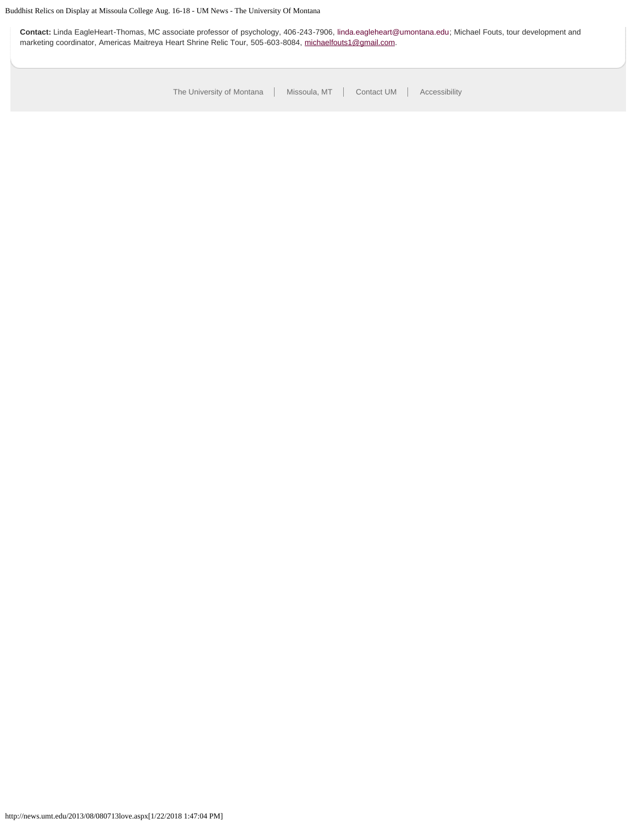**Contact:** Linda EagleHeart-Thomas, MC associate professor of psychology, 406-243-7906, [linda.eagleheart@umontana.edu](mailto:linda.eagleheart@umontana.edu); Michael Fouts, tour development and marketing coordinator, Americas Maitreya Heart Shrine Relic Tour, 505-603-8084, [michaelfouts1@gmail.com.](mailto:michaelfouts1@gmail.com)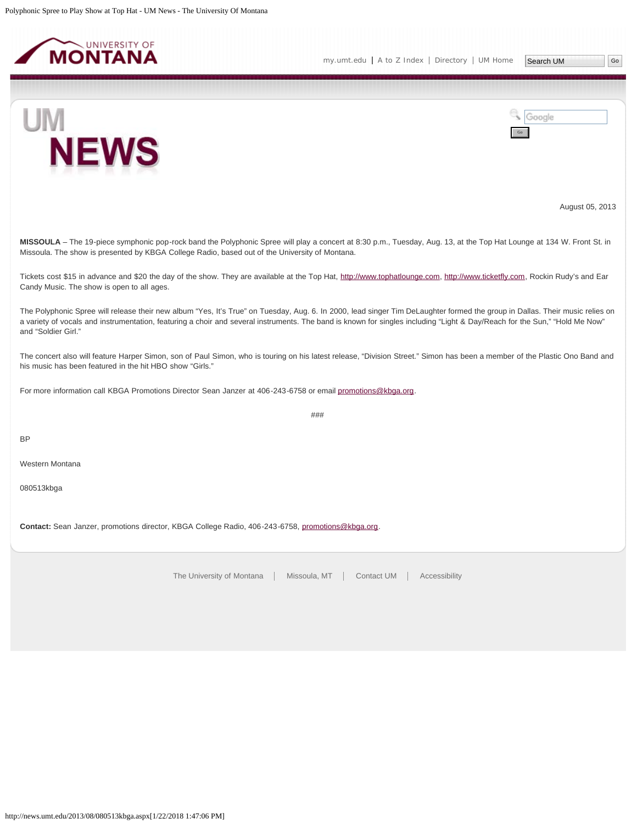<span id="page-38-0"></span>

UM



August 05, 2013

**MISSOULA** – The 19-piece symphonic pop-rock band the Polyphonic Spree will play a concert at 8:30 p.m., Tuesday, Aug. 13, at the Top Hat Lounge at 134 W. Front St. in Missoula. The show is presented by KBGA College Radio, based out of the University of Montana.

Tickets cost \$15 in advance and \$20 the day of the show. They are available at the Top Hat, [http://www.tophatlounge.com,](http://www.tophatlounge.com/) [http://www.ticketfly.com,](http://www.ticketfly.com/) Rockin Rudy's and Ear Candy Music. The show is open to all ages.

The Polyphonic Spree will release their new album "Yes, It's True" on Tuesday, Aug. 6. In 2000, lead singer Tim DeLaughter formed the group in Dallas. Their music relies on a variety of vocals and instrumentation, featuring a choir and several instruments. The band is known for singles including "Light & Day/Reach for the Sun," "Hold Me Now" and "Soldier Girl."

The concert also will feature Harper Simon, son of Paul Simon, who is touring on his latest release, "Division Street." Simon has been a member of the Plastic Ono Band and his music has been featured in the hit HBO show "Girls."

###

For more information call KBGA Promotions Director Sean Janzer at 406-243-6758 or email [promotions@kbga.org](mailto:promotions@kbga.org).

BP

Western Montana

080513kbga

**Contact:** Sean Janzer, promotions director, KBGA College Radio, 406-243-6758, [promotions@kbga.org](mailto:promotions@kbga.org).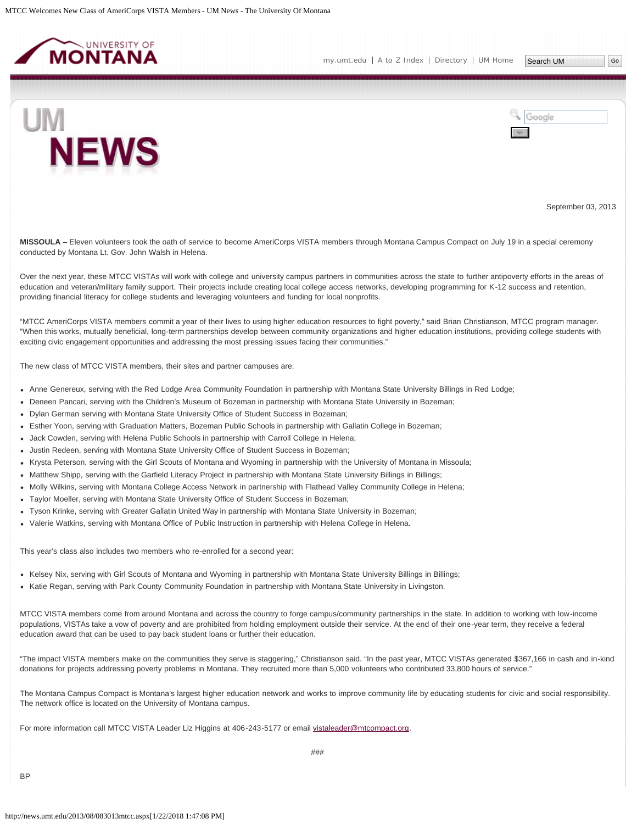<span id="page-39-0"></span>



Go

Google



September 03, 2013

**MISSOULA** – Eleven volunteers took the oath of service to become AmeriCorps VISTA members through Montana Campus Compact on July 19 in a special ceremony conducted by Montana Lt. Gov. John Walsh in Helena.

Over the next year, these MTCC VISTAs will work with college and university campus partners in communities across the state to further antipoverty efforts in the areas of education and veteran/military family support. Their projects include creating local college access networks, developing programming for K-12 success and retention, providing financial literacy for college students and leveraging volunteers and funding for local nonprofits.

"MTCC AmeriCorps VISTA members commit a year of their lives to using higher education resources to fight poverty," said Brian Christianson, MTCC program manager. "When this works, mutually beneficial, long-term partnerships develop between community organizations and higher education institutions, providing college students with exciting civic engagement opportunities and addressing the most pressing issues facing their communities."

The new class of MTCC VISTA members, their sites and partner campuses are:

- Anne Genereux, serving with the Red Lodge Area Community Foundation in partnership with Montana State University Billings in Red Lodge;
- Deneen Pancari, serving with the Children's Museum of Bozeman in partnership with Montana State University in Bozeman;
- Dylan German serving with Montana State University Office of Student Success in Bozeman;
- Esther Yoon, serving with Graduation Matters, Bozeman Public Schools in partnership with Gallatin College in Bozeman;
- Jack Cowden, serving with Helena Public Schools in partnership with Carroll College in Helena;
- Justin Redeen, serving with Montana State University Office of Student Success in Bozeman;
- Krysta Peterson, serving with the Girl Scouts of Montana and Wyoming in partnership with the University of Montana in Missoula;
- Matthew Shipp, serving with the Garfield Literacy Project in partnership with Montana State University Billings in Billings;
- Molly Wilkins, serving with Montana College Access Network in partnership with Flathead Valley Community College in Helena;
- Taylor Moeller, serving with Montana State University Office of Student Success in Bozeman;
- Tyson Krinke, serving with Greater Gallatin United Way in partnership with Montana State University in Bozeman;
- Valerie Watkins, serving with Montana Office of Public Instruction in partnership with Helena College in Helena.

This year's class also includes two members who re-enrolled for a second year:

- Kelsey Nix, serving with Girl Scouts of Montana and Wyoming in partnership with Montana State University Billings in Billings;
- Katie Regan, serving with Park County Community Foundation in partnership with Montana State University in Livingston.

MTCC VISTA members come from around Montana and across the country to forge campus/community partnerships in the state. In addition to working with low-income populations, VISTAs take a vow of poverty and are prohibited from holding employment outside their service. At the end of their one-year term, they receive a federal education award that can be used to pay back student loans or further their education.

"The impact VISTA members make on the communities they serve is staggering," Christianson said. "In the past year, MTCC VISTAs generated \$367,166 in cash and in-kind donations for projects addressing poverty problems in Montana. They recruited more than 5,000 volunteers who contributed 33,800 hours of service."

The Montana Campus Compact is Montana's largest higher education network and works to improve community life by educating students for civic and social responsibility. The network office is located on the University of Montana campus.

For more information call MTCC VISTA Leader Liz Higgins at 406-243-5177 or email [vistaleader@mtcompact.org](mailto:vistaleader@mtcompact.org).

BP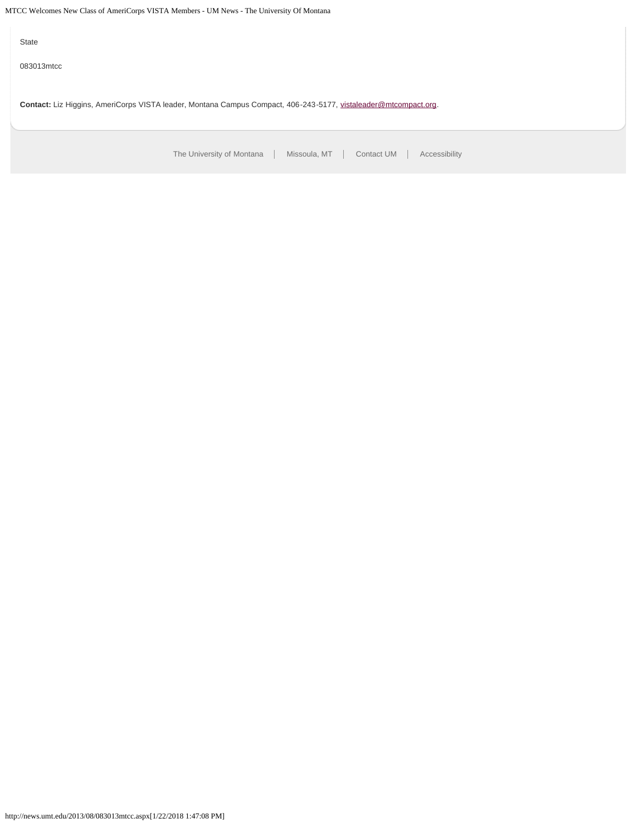MTCC Welcomes New Class of AmeriCorps VISTA Members - UM News - The University Of Montana

[The University of Montana](http://www.umt.edu/) | Missoula, MT | [Contact UM](http://www.umt.edu/comments) | [Accessibility](http://www.umt.edu/home/accessibility) State 083013mtcc **Contact:** Liz Higgins, AmeriCorps VISTA leader, Montana Campus Compact, 406-243-5177, [vistaleader@mtcompact.org](mailto:vistaleader@mtcompact.org).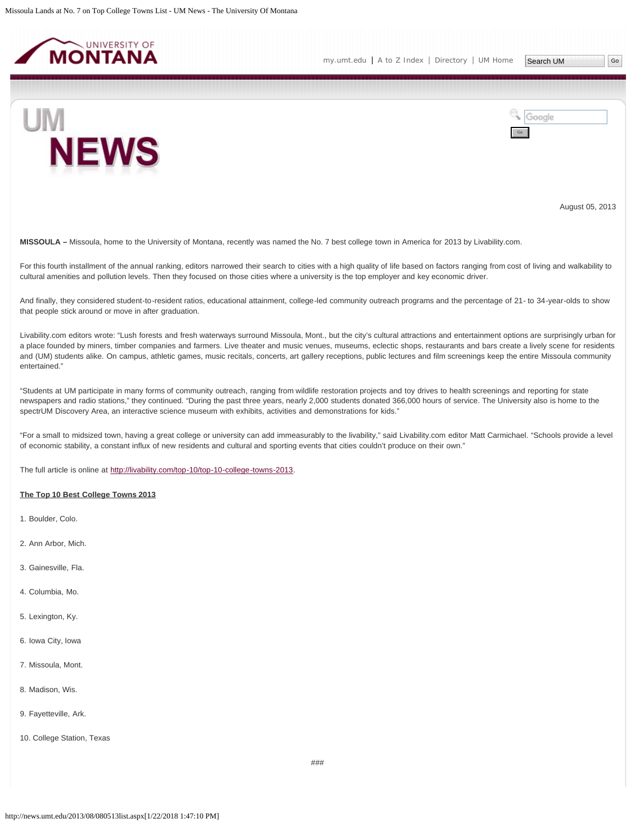<span id="page-41-0"></span>



Google Go

August 05, 2013

**MISSOULA –** Missoula, home to the University of Montana, recently was named the No. 7 best college town in America for 2013 by Livability.com.

For this fourth installment of the annual ranking, editors narrowed their search to cities with a high quality of life based on factors ranging from cost of living and walkability to cultural amenities and pollution levels. Then they focused on those cities where a university is the top employer and key economic driver.

And finally, they considered student-to-resident ratios, educational attainment, college-led community outreach programs and the percentage of 21- to 34-year-olds to show that people stick around or move in after graduation.

Livability.com editors wrote: "Lush forests and fresh waterways surround Missoula, Mont., but the city's cultural attractions and entertainment options are surprisingly urban for a place founded by miners, timber companies and farmers. Live theater and music venues, museums, eclectic shops, restaurants and bars create a lively scene for residents and (UM) students alike. On campus, athletic games, music recitals, concerts, art gallery receptions, public lectures and film screenings keep the entire Missoula community entertained."

"Students at UM participate in many forms of community outreach, ranging from wildlife restoration projects and toy drives to health screenings and reporting for state newspapers and radio stations," they continued. "During the past three years, nearly 2,000 students donated 366,000 hours of service. The University also is home to the spectrUM Discovery Area, an interactive science museum with exhibits, activities and demonstrations for kids."

"For a small to midsized town, having a great college or university can add immeasurably to the livability," said Livability.com editor Matt Carmichael. "Schools provide a level of economic stability, a constant influx of new residents and cultural and sporting events that cities couldn't produce on their own."

The full article is online at [http://livability.com/top-10/top-10-college-towns-2013.](http://livability.com/top-10/top-10-college-towns-2013)

#### **The Top 10 Best College Towns 2013**

- 1. Boulder, Colo.
- 2. Ann Arbor, Mich.
- 3. Gainesville, Fla.
- 4. Columbia, Mo.
- 5. Lexington, Ky.
- 6. Iowa City, Iowa
- 7. Missoula, Mont.
- 8. Madison, Wis.
- 9. Fayetteville, Ark.
- 10. College Station, Texas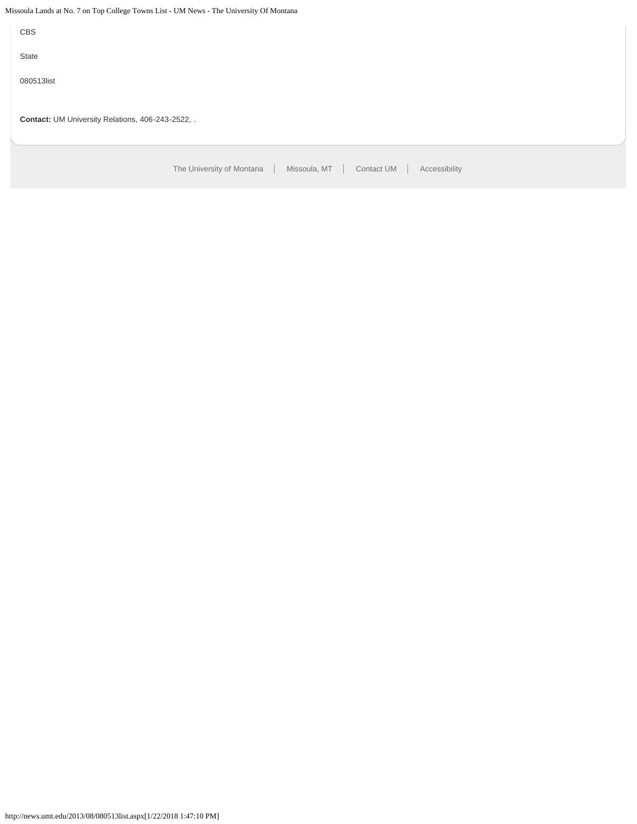Missoula Lands at No. 7 on Top College Towns List - UM News - The University Of Montana

CBS State 080513list **Contact:** UM University Relations, 406-243-2522, .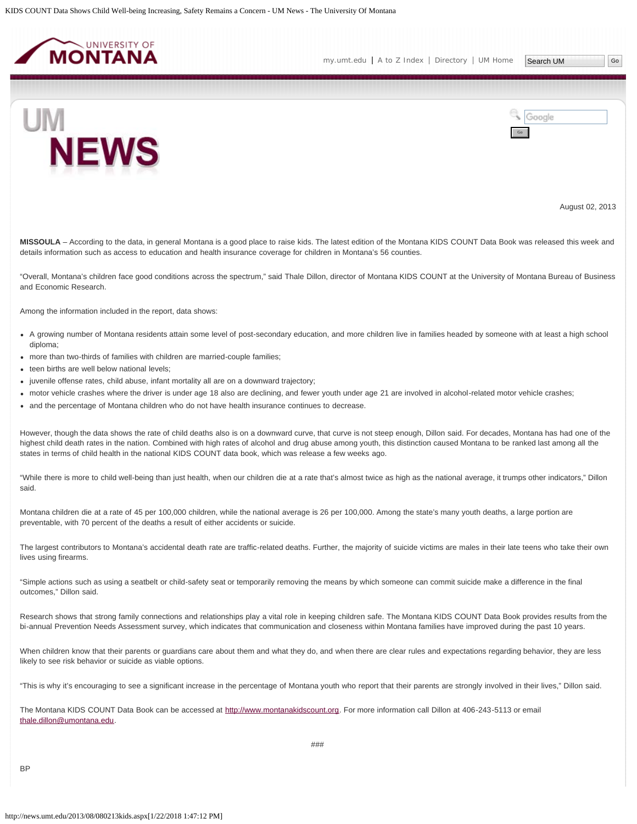<span id="page-43-0"></span>



Go

Google



August 02, 2013

**MISSOULA** – According to the data, in general Montana is a good place to raise kids. The latest edition of the Montana KIDS COUNT Data Book was released this week and details information such as access to education and health insurance coverage for children in Montana's 56 counties.

"Overall, Montana's children face good conditions across the spectrum," said Thale Dillon, director of Montana KIDS COUNT at the University of Montana Bureau of Business and Economic Research.

Among the information included in the report, data shows:

- A growing number of Montana residents attain some level of post-secondary education, and more children live in families headed by someone with at least a high school diploma;
- more than two-thirds of families with children are married-couple families;
- teen births are well below national levels:
- juvenile offense rates, child abuse, infant mortality all are on a downward trajectory;
- motor vehicle crashes where the driver is under age 18 also are declining, and fewer youth under age 21 are involved in alcohol-related motor vehicle crashes;
- and the percentage of Montana children who do not have health insurance continues to decrease.

However, though the data shows the rate of child deaths also is on a downward curve, that curve is not steep enough, Dillon said. For decades, Montana has had one of the highest child death rates in the nation. Combined with high rates of alcohol and drug abuse among youth, this distinction caused Montana to be ranked last among all the states in terms of child health in the national KIDS COUNT data book, which was release a few weeks ago.

"While there is more to child well-being than just health, when our children die at a rate that's almost twice as high as the national average, it trumps other indicators," Dillon said.

Montana children die at a rate of 45 per 100,000 children, while the national average is 26 per 100,000. Among the state's many youth deaths, a large portion are preventable, with 70 percent of the deaths a result of either accidents or suicide.

The largest contributors to Montana's accidental death rate are traffic-related deaths. Further, the majority of suicide victims are males in their late teens who take their own lives using firearms.

"Simple actions such as using a seatbelt or child-safety seat or temporarily removing the means by which someone can commit suicide make a difference in the final outcomes," Dillon said.

Research shows that strong family connections and relationships play a vital role in keeping children safe. The Montana KIDS COUNT Data Book provides results from the bi-annual Prevention Needs Assessment survey, which indicates that communication and closeness within Montana families have improved during the past 10 years.

When children know that their parents or guardians care about them and what they do, and when there are clear rules and expectations regarding behavior, they are less likely to see risk behavior or suicide as viable options.

"This is why it's encouraging to see a significant increase in the percentage of Montana youth who report that their parents are strongly involved in their lives," Dillon said.

The Montana KIDS COUNT Data Book can be accessed at [http://www.montanakidscount.org](http://www.montanakidscount.org/). For more information call Dillon at 406-243-5113 or email [thale.dillon@umontana.edu.](mailto:thale.dillon@umontana.edu)

BP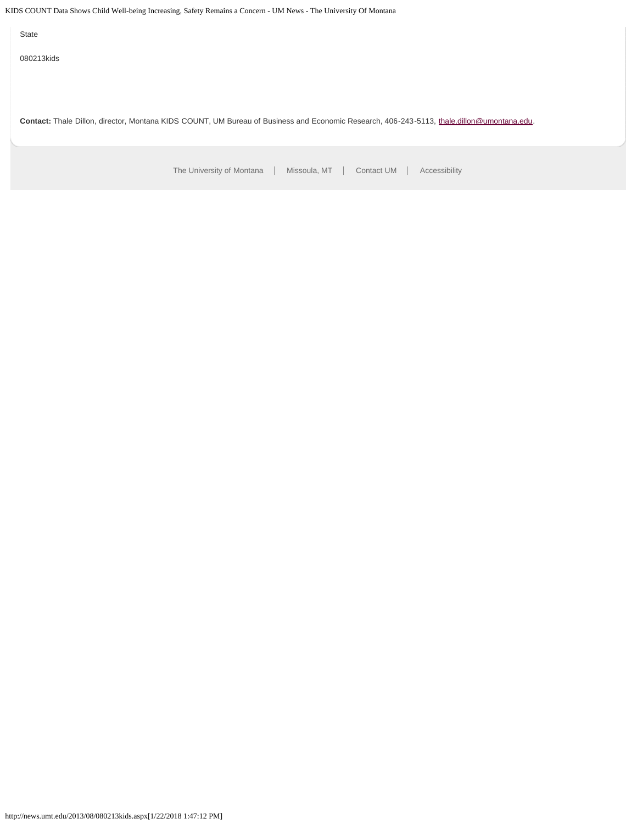KIDS COUNT Data Shows Child Well-being Increasing, Safety Remains a Concern - UM News - The University Of Montana

State

080213kids

**Contact:** Thale Dillon, director, Montana KIDS COUNT, UM Bureau of Business and Economic Research, 406-243-5113, [thale.dillon@umontana.edu.](mailto:thale.dillon@umontana.edu)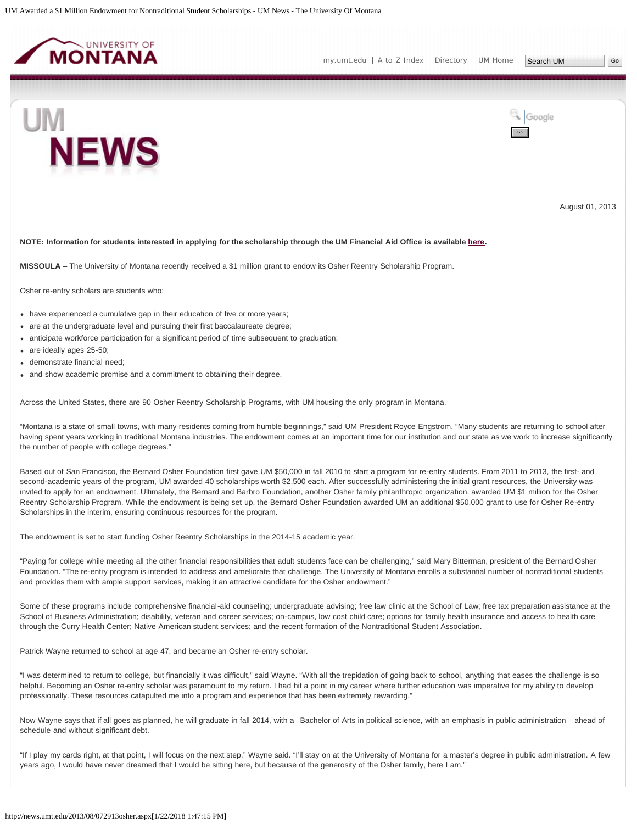<span id="page-45-0"></span>

Go

Google



August 01, 2013

#### **NOTE: Information for students interested in applying for the scholarship through the UM Financial Aid Office is available [here](http://life.umt.edu/finaid/scholarships/osher.php).**

**MISSOULA** – The University of Montana recently received a \$1 million grant to endow its Osher Reentry Scholarship Program.

Osher re-entry scholars are students who:

- have experienced a cumulative gap in their education of five or more years;
- are at the undergraduate level and pursuing their first baccalaureate degree;
- anticipate workforce participation for a significant period of time subsequent to graduation;
- are ideally ages 25-50;
- demonstrate financial need;
- and show academic promise and a commitment to obtaining their degree.

Across the United States, there are 90 Osher Reentry Scholarship Programs, with UM housing the only program in Montana.

"Montana is a state of small towns, with many residents coming from humble beginnings," said UM President Royce Engstrom. "Many students are returning to school after having spent years working in traditional Montana industries. The endowment comes at an important time for our institution and our state as we work to increase significantly the number of people with college degrees."

Based out of San Francisco, the Bernard Osher Foundation first gave UM \$50,000 in fall 2010 to start a program for re-entry students. From 2011 to 2013, the first- and second-academic years of the program, UM awarded 40 scholarships worth \$2,500 each. After successfully administering the initial grant resources, the University was invited to apply for an endowment. Ultimately, the Bernard and Barbro Foundation, another Osher family philanthropic organization, awarded UM \$1 million for the Osher Reentry Scholarship Program. While the endowment is being set up, the Bernard Osher Foundation awarded UM an additional \$50,000 grant to use for Osher Re-entry Scholarships in the interim, ensuring continuous resources for the program.

The endowment is set to start funding Osher Reentry Scholarships in the 2014-15 academic year.

"Paying for college while meeting all the other financial responsibilities that adult students face can be challenging," said Mary Bitterman, president of the Bernard Osher Foundation. "The re-entry program is intended to address and ameliorate that challenge. The University of Montana enrolls a substantial number of nontraditional students and provides them with ample support services, making it an attractive candidate for the Osher endowment."

Some of these programs include comprehensive financial-aid counseling; undergraduate advising; free law clinic at the School of Law; free tax preparation assistance at the School of Business Administration; disability, veteran and career services; on-campus, low cost child care; options for family health insurance and access to health care through the Curry Health Center; Native American student services; and the recent formation of the Nontraditional Student Association.

Patrick Wayne returned to school at age 47, and became an Osher re-entry scholar.

"I was determined to return to college, but financially it was difficult," said Wayne. "With all the trepidation of going back to school, anything that eases the challenge is so helpful. Becoming an Osher re-entry scholar was paramount to my return. I had hit a point in my career where further education was imperative for my ability to develop professionally. These resources catapulted me into a program and experience that has been extremely rewarding."

Now Wayne says that if all goes as planned, he will graduate in fall 2014, with a Bachelor of Arts in political science, with an emphasis in public administration - ahead of schedule and without significant debt.

"If I play my cards right, at that point, I will focus on the next step," Wayne said. "I'll stay on at the University of Montana for a master's degree in public administration. A few years ago, I would have never dreamed that I would be sitting here, but because of the generosity of the Osher family, here I am."